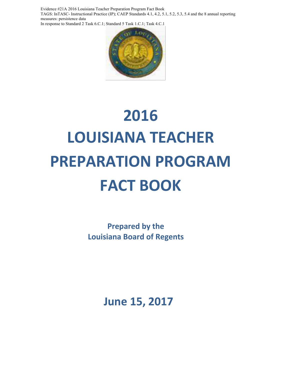Evidence #21A 2016 Louisiana Teacher Preparation Program Fact Book TAGS: InTASC- Instructional Practice (IP); CAEP Standards 4.1, 4.2, 5.1, 5.2, 5.3, 5.4 and the 8 annual reporting measures: persistence data In response to Standard 2 Task 6.C.1; Standard 5 Task 1.C.1; Task 4.C.1



# **2016 LOUISIANA TEACHER PREPARATION PROGRAM FACT BOOK**

**Prepared by the Louisiana Board of Regents**

**June 15, 2017**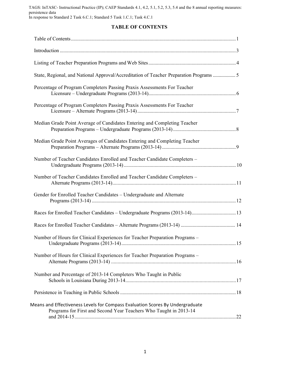TAGS: InTASC- Instructional Practice (IP); CAEP Standards 4.1, 4.2, 5.1, 5.2, 5.3, 5.4 and the 8 annual reporting measures: persistence data In response to Standard 2 Task 6.C.1; Standard 5 Task 1.C.1; Task 4.C.1

#### **TABLE OF CONTENTS**

| State, Regional, and National Approval/Accreditation of Teacher Preparation Programs  5                                                            |  |
|----------------------------------------------------------------------------------------------------------------------------------------------------|--|
| Percentage of Program Completers Passing Praxis Assessments For Teacher                                                                            |  |
| Percentage of Program Completers Passing Praxis Assessments For Teacher                                                                            |  |
| Median Grade Point Average of Candidates Entering and Completing Teacher                                                                           |  |
| Median Grade Point Averages of Candidates Entering and Completing Teacher                                                                          |  |
| Number of Teacher Candidates Enrolled and Teacher Candidate Completers -                                                                           |  |
| Number of Teacher Candidates Enrolled and Teacher Candidate Completers -                                                                           |  |
| Gender for Enrolled Teacher Candidates - Undergraduate and Alternate                                                                               |  |
|                                                                                                                                                    |  |
|                                                                                                                                                    |  |
| Number of Hours for Clinical Experiences for Teacher Preparation Programs -                                                                        |  |
| Number of Hours for Clinical Experiences for Teacher Preparation Programs -                                                                        |  |
| Number and Percentage of 2013-14 Completers Who Taught in Public                                                                                   |  |
|                                                                                                                                                    |  |
| Means and Effectiveness Levels for Compass Evaluation Scores By Undergraduate<br>Programs for First and Second Year Teachers Who Taught in 2013-14 |  |
|                                                                                                                                                    |  |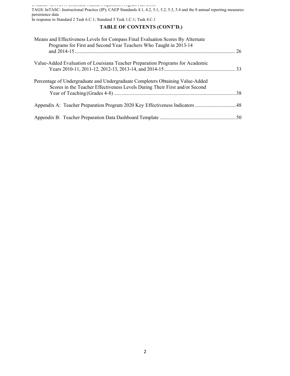Evidence #21A 2016 Louisiana Teacher Preparation Program Fact Book TAGS: InTASC- Instructional Practice (IP); CAEP Standards 4.1, 4.2, 5.1, 5.2, 5.3, 5.4 and the 8 annual reporting measures: persistence data In response to Standard 2 Task 6.C.1; Standard 5 Task 1.C.1; Task 4.C.1

#### **TABLE OF CONTENTS (CONT'D.)**

| Means and Effectiveness Levels for Compass Final Evaluation Scores By Alternate<br>Programs for First and Second Year Teachers Who Taught in 2013-14 |           |
|------------------------------------------------------------------------------------------------------------------------------------------------------|-----------|
|                                                                                                                                                      | <b>26</b> |
| Value-Added Evaluation of Louisiana Teacher Preparation Programs for Academic                                                                        |           |
|                                                                                                                                                      |           |
| Percentage of Undergraduate and Undergraduate Completers Obtaining Value-Added                                                                       |           |
| Scores in the Teacher Effectiveness Levels During Their First and/or Second                                                                          | 38        |
|                                                                                                                                                      |           |
|                                                                                                                                                      |           |
|                                                                                                                                                      |           |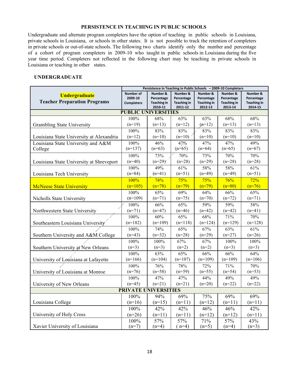#### **PERSISTENCE IN TEACHING IN PUBLIC SCHOOLS**

Undergraduate and alternate program completers have the option of teaching in public schools in Louisiana, private schools in Louisiana, or schools in other states. It is not possible to track the retention of completers in private schools or out-of-state schools. The following two charts identify only the number and percentage of a cohort of program completers in 2009-10 who taught in public schools in Louisiana during the five year time period. Completers not reflected in the following chart may be teaching in private schools in Louisiana or teaching in other states.

#### **UNDERGRADUATE**

|                                          | Persistence in Teaching in Public Schools - 2009-10 Completers |                               |                               |                               |                               |                               |
|------------------------------------------|----------------------------------------------------------------|-------------------------------|-------------------------------|-------------------------------|-------------------------------|-------------------------------|
| <b>Undergraduate</b>                     | <b>Number of</b>                                               | <b>Number &amp;</b>           | Number &                      | Number &                      | <b>Number &amp;</b>           | Number &                      |
| <b>Teacher Preparation Programs</b>      | 2009-10                                                        | Percentage                    | Percentage                    | Percentage                    | Percentage                    | Percentage                    |
|                                          | <b>Completers</b>                                              | <b>Teaching in</b><br>2010-11 | <b>Teaching in</b><br>2011-12 | <b>Teaching in</b><br>2012-13 | <b>Teaching in</b><br>2013-14 | <b>Teaching in</b><br>2014-15 |
|                                          | <b>PUBLIC UNIVERSITIES</b>                                     |                               |                               |                               |                               |                               |
|                                          | 100%                                                           | 68%                           | 63%                           | 63%                           | 68%                           | 68%                           |
| Grambling State University               | $(n=19)$                                                       | $(n=13)$                      | $(n=12)$                      | $(n=12)$                      | $(n=13)$                      | $(n=13)$                      |
|                                          | 100%                                                           | 83%                           | 83%                           | 83%                           | 83%                           | 83%                           |
| Louisiana State University at Alexandria | $(n=12)$                                                       | $(n=10)$                      | $(n=10)$                      | $(n=10)$                      | $(n=10)$                      | $(n=10)$                      |
| Louisiana State University and A&M       | 100%                                                           | 46%                           | 47%                           | 47%                           | 47%                           | 49%                           |
| College                                  | $(n=137)$                                                      | $(n=63)$                      | $(n=65)$                      | $(n=64)$                      | $(n=65)$                      | $(n=67)$                      |
|                                          | 100%                                                           | 73%                           | 70%                           | 73%                           | 70%                           | 70%                           |
| Louisiana State University at Shreveport | $(n=40)$                                                       | $(n=29)$                      | $(n=28)$                      | $(n=29)$                      | $(n=28)$                      | $(n=28)$                      |
|                                          | 100%                                                           | 49%                           | 61%                           | 58%                           | 58%                           | 61%                           |
| Louisiana Tech University                | $(n=84)$                                                       | $(n=41)$                      | $(n=51)$                      | $(n=49)$                      | $(n=49)$                      | $(n=51)$                      |
|                                          | 100%                                                           | 74%                           | 75%                           | 75%                           | 76%                           | 72%                           |
| <b>McNeese State University</b>          | $(n=105)$                                                      | $(n=78)$                      | $(n=79)$                      | $(n=79)$                      | $(n=80)$                      | $(n=76)$                      |
|                                          | 100%                                                           | 65%                           | 69%                           | 64%                           | 66%                           | 65%                           |
| Nicholls State University                | $(n=109)$                                                      | $(n=71)$                      | $(n=75)$                      | $(n=70)$                      | $(n=72)$                      | $(n=71)$                      |
|                                          | 100%                                                           | 66%                           | 65%                           | 59%                           | 59%                           | 58%                           |
| Northwestern State University            | $(n=71)$                                                       | $(n=47)$                      | $(n=46)$                      | $(n=42)$                      | $(n=42)$                      | $(n=41)$                      |
|                                          | 100%                                                           | 60%                           | 65%                           | 68%                           | 71%                           | 70%                           |
| Southeastern Louisiana University        | $(n=182)$                                                      | $(n=109)$                     | $(n=118)$                     | $(n=124)$                     | $(n=129)$                     | $(n=128)$                     |
|                                          | 100%                                                           | 74%                           | 65%                           | 67%                           | 63%                           | 61%                           |
| Southern University and A&M College      | $(n=43)$                                                       | $(n=32)$                      | $(n=28)$                      | $(n=29)$                      | $(n=27)$                      | $(n=26)$                      |
|                                          | 100%                                                           | 100%                          | 67%                           | 67%                           | 100%                          | 100%                          |
| Southern University at New Orleans       | $(n=3)$                                                        | $(n=3)$                       | $(n=2)$                       | $(n=2)$                       | $(n=3)$                       | $(n=3)$                       |
|                                          | 100%                                                           | 63%                           | 65%                           | 66%                           | 66%                           | 64%                           |
| University of Louisiana at Lafayette     | $(n=166)$                                                      | $(n=104)$                     | $(n=107)$                     | $(n=109)$                     | $(n=109)$                     | $(n=106)$                     |
|                                          | 100%                                                           | 76%                           | 78%                           | 72%                           | 71%                           | 70%                           |
| University of Louisiana at Monroe        | $(n=76)$                                                       | $(n=58)$                      | $(n=59)$                      | $(n=55)$                      | $(n=54)$                      | $(n=53)$                      |
|                                          | 100%                                                           | 47%                           | 47%                           | 44%                           | 49%                           | 49%                           |
| University of New Orleans                | $(n=45)$                                                       | $(n=21)$                      | $(n=21)$                      | $(n=20)$                      | $(n=22)$                      | $(n=22)$                      |
|                                          | <b>PRIVATE UNIVERSITIES</b>                                    |                               |                               |                               |                               |                               |
|                                          | 100%                                                           | 94%                           | 69%                           | 75%                           | 69%                           | 69%                           |
| Louisiana College                        | $(n=16)$                                                       | $(n=15)$                      | $(n=11)$                      | $(n=12)$                      | $(n=11)$                      | $(n=11)$                      |
|                                          | 100%                                                           | 42%                           | 42%                           | 46%                           | 46%                           | 42%                           |
| University of Holy Cross                 | $(n=26)$                                                       | $(n=11)$                      | $(n=11)$                      | $(n=12)$                      | $(n=12)$                      | $(n=11)$                      |
|                                          | 100%                                                           | 57%                           | 57%                           | 71%                           | 57%                           | 43%                           |
| Xavier University of Louisiana           | $(n=7)$                                                        | $(n=4)$                       | $(n=4)$                       | $(n=5)$                       | $(n=4)$                       | $(n=3)$                       |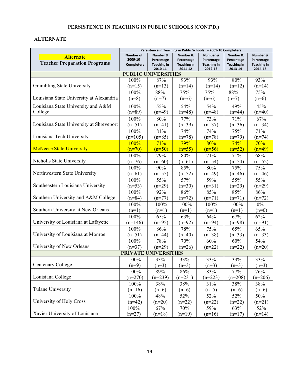# **PERSISTENCE IN TEACHING IN PUBLIC SCHOOLS (CONT'D.)**

# **ALTERNATE**

|                                          | Persistence in Teaching in Public Schools - 2009-10 Completers |                               |                               |                               |                               |                               |
|------------------------------------------|----------------------------------------------------------------|-------------------------------|-------------------------------|-------------------------------|-------------------------------|-------------------------------|
| <b>Alternate</b>                         | Number of                                                      | Number &                      | Number &                      | Number &                      | Number &                      | Number &                      |
| <b>Teacher Preparation Programs</b>      | 2009-10                                                        | Percentage                    | Percentage                    | Percentage                    | Percentage                    | Percentage                    |
|                                          | <b>Completers</b>                                              | <b>Teaching in</b><br>2010-11 | <b>Teaching in</b><br>2011-12 | <b>Teaching in</b><br>2012-13 | <b>Teaching in</b><br>2013-14 | <b>Teaching in</b><br>2014-15 |
|                                          | <b>PUBLIC UNIVERSITIES</b>                                     |                               |                               |                               |                               |                               |
|                                          | 100%                                                           | 87%                           | 93%                           | 93%                           | 80%                           | 93%                           |
| Grambling State University               | $(n=15)$                                                       | $(n=13)$                      | $(n=14)$                      | $(n=14)$                      | $(n=12)$                      | $(n=14)$                      |
|                                          | 100%                                                           | 88%                           | 75%                           | 75%                           | 88%                           | 75%                           |
| Louisiana State University at Alexandria | $(n=8)$                                                        | $(n=7)$                       | $(n=6)$                       | $(n=6)$                       | $(n=7)$                       | $(n=6)$                       |
| Louisiana State University and A&M       | 100%                                                           | 55%                           | 54%                           | 54%                           | 49%                           | 45%                           |
| College                                  | $(n=89)$                                                       | $(n=49)$                      | $(n=48)$                      | $(n=48)$                      | $(n=44)$                      | $(n=40)$                      |
|                                          | 100%                                                           | 80%                           | 77%                           | 73%                           | 71%                           | 67%                           |
| Louisiana State University at Shreveport | $(n=51)$                                                       | $(n=41)$                      | $(n=39)$                      | $(n=37)$                      | $(n=36)$                      | $(n=34)$                      |
|                                          | 100%                                                           | 81%                           | 74%                           | 74%                           | 75%                           | 71%                           |
| Louisiana Tech University                | $(n=105)$                                                      | $(n=85)$                      | $(n=78)$                      | $(n=78)$                      | $(n=79)$                      | $(n=74)$                      |
|                                          | 100%                                                           | 71%                           | 79%                           | 80%                           | 74%                           | 70%                           |
| <b>McNeese State University</b>          | $(n=70)$                                                       | $(n=50)$                      | $(n=55)$                      | $(n=56)$                      | $(n=52)$                      | $(n=49)$                      |
|                                          | 100%                                                           | 79%                           | 80%                           | 71%                           | 71%                           | 68%                           |
| Nicholls State University                | $(n=76)$                                                       | $(n=60)$                      | $(n=61)$                      | $(n=54)$                      | $(n=54)$                      | $(n=52)$                      |
|                                          | 100%                                                           | 90%                           | 85%                           | 80%                           | 75%                           | 75%                           |
| Northwestern State University            | $(n=61)$                                                       | $(n=55)$                      | $(n=52)$                      | $(n=49)$                      | $(n=46)$                      | $(n=46)$                      |
|                                          | 100%                                                           | 55%                           | 57%                           | 59%                           | 55%                           | 55%                           |
| Southeastern Louisiana University        | $(n=53)$                                                       | $(n=29)$                      | $(n=30)$                      | $(n=31)$                      | $(n=29)$                      | $(n=29)$                      |
|                                          | 100%                                                           | 92%                           | 86%                           | 85%                           | 85%                           | 86%                           |
| Southern University and A&M College      | $(n=84)$                                                       | $(n=77)$                      | $(n=72)$                      | $(n=71)$                      | $(n=71)$                      | $(n=72)$                      |
|                                          | 100%                                                           | 100%                          | 100%                          | 100%                          | 100%                          | $0\%$                         |
| Southern University at New Orleans       | $(n=1)$                                                        | $(n=1)$                       | $(n=1)$                       | $(n=1)$                       | $(n=1)$                       | $(n=0)$                       |
|                                          | 100%                                                           | 65%                           | 63%                           | 64%                           | 67%                           | 62%                           |
| University of Louisiana at Lafayette     | $(n=146)$                                                      | $(n=95)$                      | $(n=92)$                      | $(n=94)$                      | $(n=98)$                      | $(n=91)$                      |
|                                          | 100%                                                           | 86%                           | 78%                           | 75%                           | 65%                           | 65%                           |
| University of Louisiana at Monroe        | $(n=51)$                                                       | $(n=44)$                      | $(n=40)$                      | $(n=38)$                      | $(n=33)$                      | $(n=33)$                      |
|                                          | 100%                                                           | 78%                           | 70%                           | 60%                           | 60%                           | 54%                           |
| University of New Orleans                | $(n=37)$                                                       | $(n=29)$                      | $(n=26)$                      | $(n=22)$                      | $(n=22)$                      | $(n=20)$                      |
|                                          | <b>PRIVATE UNIVERSITIES</b>                                    |                               |                               |                               |                               |                               |
|                                          | 100%                                                           | 33%                           | 33%                           | 33%                           | 33%                           | 33%                           |
| Centenary College                        | $(n=9)$                                                        | $(n=3)$                       | $(n=3)$                       | $(n=3)$                       | $(n=3)$                       | $(n=3)$                       |
|                                          | 100%                                                           | 89%                           | 86%                           | 83%                           | 77%                           | 76%                           |
| Louisiana College                        | $(n=270)$                                                      | $(n=239)$                     | $(n=231)$                     | $(n=223)$                     | $(n=208)$                     | $(n=206)$                     |
|                                          | 100%                                                           | 38%                           | 38%                           | 31%                           | 38%                           | 38%                           |
| <b>Tulane University</b>                 | $(n=16)$                                                       | $(n=6)$                       | $(n=6)$                       | $(n=5)$                       | $(n=6)$                       | $(n=6)$                       |
| University of Holy Cross                 | 100%                                                           | 48%                           | 52%                           | 52%                           | 52%                           | 50%                           |
|                                          | $(n=42)$                                                       | $(n=20)$                      | $(n=22)$                      | $(n=22)$                      | $(n=22)$                      | $(n=21)$                      |
|                                          | 100%                                                           | 67%                           | 70%                           | 59%                           | 63%                           | 52%                           |
| Xavier University of Louisiana           | $(n=27)$                                                       | $(n=18)$                      | $(n=19)$                      | $(n=16)$                      | $(n=17)$                      | $(n=14)$                      |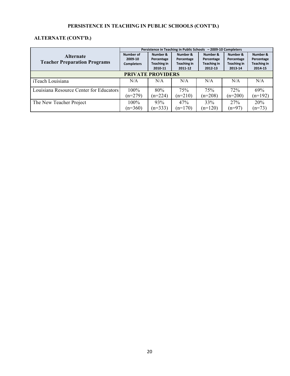# **PERSISTENCE IN TEACHING IN PUBLIC SCHOOLS (CONT'D.)**

# **ALTERNATE (CONT'D.)**

|                                         | Persistence in Teaching in Public Schools - 2009-10 Completers |                        |                               |                        |                               |                               |  |  |
|-----------------------------------------|----------------------------------------------------------------|------------------------|-------------------------------|------------------------|-------------------------------|-------------------------------|--|--|
| <b>Alternate</b>                        | Number of                                                      | Number &               | Number &                      | Number &               | Number &                      | Number &                      |  |  |
| <b>Teacher Preparation Programs</b>     | 2009-10                                                        | Percentage             | Percentage                    | Percentage             | Percentage                    | Percentage                    |  |  |
|                                         | <b>Completers</b>                                              | Teaching in<br>2010-11 | <b>Teaching in</b><br>2011-12 | Teaching in<br>2012-13 | <b>Teaching in</b><br>2013-14 | <b>Teaching in</b><br>2014-15 |  |  |
|                                         |                                                                |                        |                               |                        |                               |                               |  |  |
| <b>PRIVATE PROVIDERS</b>                |                                                                |                        |                               |                        |                               |                               |  |  |
| iTeach Louisiana                        | N/A                                                            | N/A                    | N/A                           | N/A                    | N/A                           | N/A                           |  |  |
| Louisiana Resource Center for Educators | $100\%$                                                        | 80%                    | 75%                           | 75%                    | 72%                           | 69%                           |  |  |
|                                         | $(n=279)$                                                      | $(n=224)$              | $(n=210)$                     | $(n=208)$              | $(n=200)$                     | $(n=192)$                     |  |  |
| The New Teacher Project                 | 100%                                                           | 93%                    | 47%                           | 33%                    | 27%                           | 20%                           |  |  |
|                                         | $(n=360)$                                                      | $(n=333)$              | $(n=170)$                     | $(n=120)$              | $(n=97)$                      | $(n=73)$                      |  |  |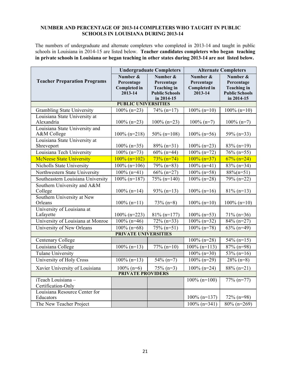#### **NUMBER AND PERCENTAGE OF 2013-14 COMPLETERS WHO TAUGHT IN PUBLIC SCHOOLS IN LOUISIANA DURING 2013-14**

The numbers of undergraduate and alternate completers who completed in 2013-14 and taught in public schools in Louisiana in 2014-15 are listed below. **Teacher candidates completers who began teaching in private schools in Louisiana or began teaching in other states during 2013-14 are not listed below.**

|                                               |                             | <b>Undergraduate Completers</b> | <b>Alternate Completers</b> |                         |  |  |
|-----------------------------------------------|-----------------------------|---------------------------------|-----------------------------|-------------------------|--|--|
|                                               | Number &                    | Number &                        | Number &                    | Number &                |  |  |
| <b>Teacher Preparation Programs</b>           | Percentage                  | Percentage                      | Percentage                  | Percentage              |  |  |
|                                               | <b>Completed in</b>         | <b>Teaching in</b>              | <b>Completed in</b>         | <b>Teaching</b> in      |  |  |
|                                               | 2013-14                     | <b>Public Schools</b>           | 2013-14                     | <b>Public Schools</b>   |  |  |
|                                               | <b>PUBLIC UNIVERSITIES</b>  | in 2014-15                      |                             | in 2014-15              |  |  |
|                                               |                             |                                 |                             |                         |  |  |
| <b>Grambling State University</b>             | $100\%$ (n=23)              | $74\%$ (n=17)                   | $100\%$ (n=10)              | $100\%$ (n=10)          |  |  |
| Louisiana State University at<br>Alexandria   |                             |                                 |                             |                         |  |  |
|                                               | $100\%$ (n=23)              | $100\%$ (n=23)                  | $100\% (n=7)$               | $100\% (n=7)$           |  |  |
| Louisiana State University and<br>A&M College | $100\%$ (n=218)             |                                 | $100\%$ (n=56)              | 59% (n=33)              |  |  |
| Louisiana State University at                 |                             | $50\%$ (n=108)                  |                             |                         |  |  |
| Shreveport                                    | $100\%$ (n=35)              | $89\%$ (n=31)                   | $100\%$ (n=23)              | $83\%$ (n=19)           |  |  |
| Louisiana Tech University                     | $100\%$ (n=73)              | $60\%$ (n=44)                   | $\frac{100\%}{(n=72)}$      | $\frac{76\%}{2}$ (n=55) |  |  |
| <b>McNeese State University</b>               | $100\%$ (n=102)             | $73\%$ (n=74)                   | $100\%$ (n=37)              | $\sqrt{67\%}$ (n=24)    |  |  |
| Nicholls State University                     |                             |                                 |                             |                         |  |  |
|                                               | $100\%$ (n=106)             | $79\%$ (n=83)                   | $100\%$ (n=41)              | $83\%$ (n=34)           |  |  |
| Northwestern State University                 | $100\%$ (n=41)              | $66\%$ (n=27)                   | $100\%$ (n=58)              | $88\%$ (n=51)           |  |  |
| Southeastern Louisiana University             | $\frac{100\%}{(n=187)}$     | $75\%$ (n=140)                  | $100\%$ (n=28)              | $79\% (n=22)$           |  |  |
| Southern University and A&M                   |                             |                                 |                             |                         |  |  |
| College                                       | $100\%$ (n=14)              | $93\%$ (n=13)                   | $100\%$ (n=16)              | $81\%$ (n=13)           |  |  |
| Southern University at New<br>Orleans         | $100\%$ (n=11)              |                                 | $100\%$ (n=10)              | $100\%$ (n=10)          |  |  |
| University of Louisiana at                    |                             | $73\%$ (n=8)                    |                             |                         |  |  |
| Lafayette                                     | $100\%$ (n=223)             | $81\%$ (n=177)                  | $100\%$ (n=53)              | $71\%$ (n=36)           |  |  |
| University of Louisiana at Monroe             | $100\%$ (n=46)              | $72\%$ (n=33)                   | $100\%$ (n=32)              | $84\%$ (n=27)           |  |  |
| University of New Orleans                     | $100\%$ (n=68)              | $75\%$ (n=51)                   | $100\%$ (n=78)              | $63\%$ (n=49)           |  |  |
|                                               | <b>PRIVATE UNIVERSITIES</b> |                                 |                             |                         |  |  |
| Centenary College                             |                             |                                 | $100\%$ (n=28)              | $54\%$ (n=15)           |  |  |
|                                               |                             |                                 |                             |                         |  |  |
| Louisiana College                             | $\frac{100\%}{(n=13)}$      | $77\%$ (n=10)                   | $100\%$ (n=113)             | $87\%$ (n=98)           |  |  |
| Tulane University                             |                             |                                 | $100\%$ (n=30)              | $\frac{1}{53\%}$ (n=16) |  |  |
| University of Holy Cross                      | $100\%$ (n=13)              | $54\%$ (n=7)                    | $100\%$ (n=29)              | $28\%$ (n=8)            |  |  |
| Xavier University of Louisiana                | $100\%$ (n=6)               | $75\%$ (n=3)                    | $100\%$ (n=24)              | $88\%$ (n=21)           |  |  |
| <b>PRIVATE PROVIDERS</b>                      |                             |                                 |                             |                         |  |  |
| iTeach Louisiana -                            |                             |                                 | $100\%$ (n=100)             | $77\%$ (n=77)           |  |  |
| Certification-Only                            |                             |                                 |                             |                         |  |  |
| Louisiana Resource Center for                 |                             |                                 |                             |                         |  |  |
| Educators                                     |                             |                                 | $100\%$ (n=137)             | 72% (n=98)              |  |  |
| The New Teacher Project                       |                             |                                 | $100\%$ (n=341)             | $80\%$ (n=269)          |  |  |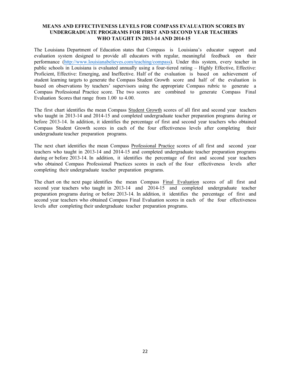The Louisiana Department of Education states that Compass is Louisiana's educator support and evaluation system designed to provide all educators with regular, meaningful feedback on their performance (http://www.louisianabelieves.com/teaching/compass). Under this system, every teacher in public schools in Louisiana is evaluated annually using a four-tiered rating – Highly Effective, Effective: Proficient, Effective: Emerging, and Ineffective. Half of the evaluation is based on achievement of student learning targets to generate the Compass Student Growth score and half of the evaluation is based on observations by teachers' supervisors using the appropriate Compass rubric to generate a Compass Professional Practice score. The two scores are combined to generate Compass Final Evaluation Scores that range from 1.00 to 4.00.

The first chart identifies the mean Compass Student Growth scores of all first and second year teachers who taught in 2013-14 and 2014-15 and completed undergraduate teacher preparation programs during or before 2013-14. In addition, it identifies the percentage of first and second year teachers who obtained Compass Student Growth scores in each of the four effectiveness levels after completing their undergraduate teacher preparation programs.

The next chart identifies the mean Compass Professional Practice scores of all first and second year teachers who taught in 2013-14 and 2014-15 and completed undergraduate teacher preparation programs during or before 2013-14. In addition, it identifies the percentage of first and second year teachers who obtained Compass Professional Practices scores in each of the four effectiveness levels after completing their undergraduate teacher preparation programs.

The chart on the next page identifies the mean Compass Final Evaluation scores of all first and second year teachers who taught in 2013-14 and 2014-15 and completed undergraduate teacher preparation programs during or before 2013-14. In addition, it identifies the percentage of first and second year teachers who obtained Compass Final Evaluation scores in each of the four effectiveness levels after completing their undergraduate teacher preparation programs.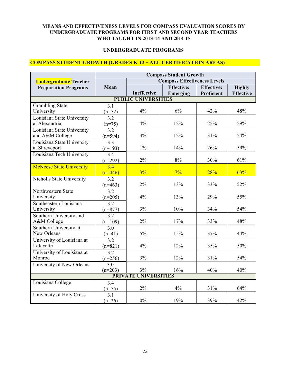#### **UNDERGRADUATE PROGRAMS**

## **COMPASS STUDENT GROWTH (GRADES K-12 – ALL CERTIFICATION AREAS)**

|                                 | <b>Compass Student Growth</b> |                                     |                   |                   |                  |  |
|---------------------------------|-------------------------------|-------------------------------------|-------------------|-------------------|------------------|--|
| <b>Undergraduate</b> Teacher    |                               | <b>Compass Effectiveness Levels</b> |                   |                   |                  |  |
| <b>Preparation Programs</b>     | Mean                          |                                     | <b>Effective:</b> | <b>Effective:</b> | <b>Highly</b>    |  |
|                                 |                               | Ineffective                         | Emerging          | Proficient        | <b>Effective</b> |  |
|                                 |                               | <b>PUBLIC UNIVERSITIES</b>          |                   |                   |                  |  |
| <b>Grambling State</b>          | 3.1                           |                                     |                   |                   |                  |  |
| University                      | $(n=52)$                      | 4%                                  | 6%                | 42%               | 48%              |  |
| Louisiana State University      | 3.2                           |                                     |                   |                   |                  |  |
| at Alexandria                   | $(n=75)$                      | 4%                                  | 12%               | 25%               | 59%              |  |
| Louisiana State University      | $\overline{3.2}$              |                                     |                   |                   |                  |  |
| and A&M College                 | $(n=594)$                     | 3%                                  | 12%               | 31%               | 54%              |  |
| Louisiana State University      | 3.3                           |                                     |                   |                   |                  |  |
| at Shreveport                   | $(n=193)$                     | $1\%$                               | 14%               | 26%               | 59%              |  |
| Louisiana Tech University       | 3.4                           |                                     |                   |                   |                  |  |
|                                 | $(n=292)$                     | 2%                                  | 8%                | 30%               | 61%              |  |
| <b>McNeese State University</b> | 3.4                           |                                     |                   |                   |                  |  |
|                                 | $(n=446)$                     | 3%                                  | $7\%$             | 28%               | 63%              |  |
| Nicholls State University       | 3.2                           |                                     |                   |                   |                  |  |
|                                 | $(n=463)$                     | 2%                                  | 13%               | 33%               | 52%              |  |
| Northwestern State              | 3.2                           |                                     |                   |                   |                  |  |
| University                      | $(n=205)$                     | 4%                                  | 13%               | 29%               | 55%              |  |
| Southeastern Louisiana          | 3.2                           |                                     |                   |                   |                  |  |
| University                      | $(n=877)$                     | 3%                                  | 10%               | 34%               | 54%              |  |
| Southern University and         | 3.2                           |                                     |                   |                   |                  |  |
| A&M College                     | $(n=109)$                     | 2%                                  | 17%               | 33%               | 48%              |  |
| Southern University at          | 3.0                           |                                     |                   |                   |                  |  |
| New Orleans                     | $(n=41)$                      | 5%                                  | 15%               | 37%               | 44%              |  |
| University of Louisiana at      | 3.2                           |                                     |                   |                   |                  |  |
| Lafayette                       | $(n=821)$                     | 4%                                  | 12%               | 35%               | 50%              |  |
| University of Louisiana at      | 3.2                           |                                     |                   |                   |                  |  |
| Monroe                          | $(n=256)$                     | 3%                                  | 12%               | 31%               | 54%              |  |
| University of New Orleans       | 3.0                           |                                     |                   |                   |                  |  |
|                                 | $(n=203)$                     | 3%<br><b>PRIVATE UNIVERSITIES</b>   | 16%               | 40%               | 40%              |  |
|                                 |                               |                                     |                   |                   |                  |  |
| Louisiana College               | 3.4                           | $2\%$                               | 4%                | 31%               | 64%              |  |
| University of Holy Cross        | $(n=55)$                      |                                     |                   |                   |                  |  |
|                                 | 3.1<br>$(n=26)$               | $0\%$                               | 19%               | 39%               | 42%              |  |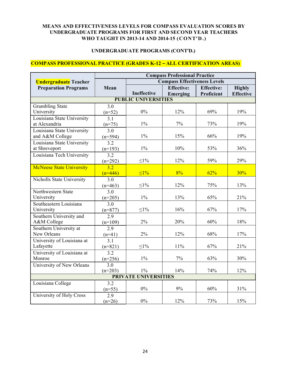#### **UNDERGRADUATE PROGRAMS (CONT'D.)**

#### **COMPASS PROFESSIONAL PRACTICE (GRADES K-12 – ALL CERTIFICATION AREAS)**

|                                 | <b>Compass Professional Practice</b> |                                     |                   |                   |                  |  |
|---------------------------------|--------------------------------------|-------------------------------------|-------------------|-------------------|------------------|--|
| <b>Undergraduate</b> Teacher    |                                      | <b>Compass Effectiveness Levels</b> |                   |                   |                  |  |
| <b>Preparation Programs</b>     | Mean                                 |                                     | <b>Effective:</b> | <b>Effective:</b> | <b>Highly</b>    |  |
|                                 |                                      | <b>Ineffective</b>                  | Emerging          | Proficient        | <b>Effective</b> |  |
|                                 |                                      | <b>PUBLIC UNIVERSITIES</b>          |                   |                   |                  |  |
| <b>Grambling State</b>          | $\overline{3.0}$                     |                                     |                   |                   |                  |  |
| University                      | $(n=52)$                             | 0%                                  | 12%               | 69%               | 19%              |  |
| Louisiana State University      | 3.1                                  |                                     |                   |                   |                  |  |
| at Alexandria                   | $(n=75)$                             | $1\%$                               | 7%                | 73%               | 19%              |  |
| Louisiana State University      | 3.0                                  |                                     |                   |                   |                  |  |
| and A&M College                 | $(n=594)$                            | $1\%$                               | 15%               | 66%               | 19%              |  |
| Louisiana State University      | 3.2                                  |                                     |                   |                   |                  |  |
| at Shreveport                   | $(n=193)$                            | $1\%$                               | 10%               | 53%               | 36%              |  |
| Louisiana Tech University       | $\overline{3.2}$                     |                                     |                   |                   |                  |  |
|                                 | $(n=292)$                            | $\leq1\%$                           | 12%               | 59%               | 29%              |  |
| <b>McNeese State University</b> | $\overline{3.2}$                     |                                     |                   |                   |                  |  |
|                                 | $(n=446)$                            | $\leq 1\%$                          | 8%                | 62%               | 30%              |  |
| Nicholls State University       | 3.0                                  |                                     |                   |                   |                  |  |
|                                 | $(n=463)$                            | $\leq1\%$                           | 12%               | 75%               | 13%              |  |
| Northwestern State              | 3.0                                  |                                     |                   |                   |                  |  |
| University                      | $(n=205)$                            | $1\%$                               | 13%               | 65%               | 21%              |  |
| Southeastern Louisiana          | 3.0                                  |                                     |                   |                   |                  |  |
| University                      | $(n=877)$                            | $\leq$ 1%                           | 16%               | 67%               | 17%              |  |
| Southern University and         | $\overline{2.9}$                     |                                     |                   |                   |                  |  |
| A&M College                     | $(n=109)$                            | 2%                                  | 20%               | 60%               | 18%              |  |
| Southern University at          | 2.9                                  |                                     |                   |                   |                  |  |
| New Orleans                     | $(n=41)$                             | 2%                                  | 12%               | 68%               | 17%              |  |
| University of Louisiana at      | 3.1                                  |                                     |                   |                   |                  |  |
| Lafayette                       | $(n=821)$                            | $\leq1\%$                           | 11%               | 67%               | 21%              |  |
| University of Louisiana at      | 3.2                                  |                                     |                   |                   |                  |  |
| Monroe                          | $(n=256)$                            | $1\%$                               | 7%                | 63%               | 30%              |  |
| University of New Orleans       | 3.0                                  |                                     |                   |                   |                  |  |
|                                 | $(n=203)$                            | $1\%$                               | 14%               | 74%               | 12%              |  |
|                                 |                                      | <b>PRIVATE UNIVERSITIES</b>         |                   |                   |                  |  |
| Louisiana College               | 3.2                                  |                                     |                   |                   |                  |  |
|                                 | $(n=55)$                             | $0\%$                               | 9%                | 60%               | 31%              |  |
| University of Holy Cross        | 2.9                                  |                                     |                   |                   |                  |  |
|                                 | $(n=26)$                             | $0\%$                               | 12%               | 73%               | 15%              |  |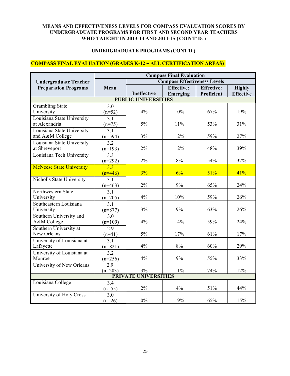#### **UNDERGRADUATE PROGRAMS (CONT'D.)**

## **COMPASS FINAL EVALUATION (GRADES K-12 – ALL CERTIFICATION AREAS)**

|                                  | <b>Compass Final Evaluation</b> |                                     |                   |                   |                  |  |
|----------------------------------|---------------------------------|-------------------------------------|-------------------|-------------------|------------------|--|
| <b>Undergraduate Teacher</b>     |                                 | <b>Compass Effectiveness Levels</b> |                   |                   |                  |  |
| <b>Preparation Programs</b>      | Mean                            |                                     | <b>Effective:</b> | <b>Effective:</b> | <b>Highly</b>    |  |
|                                  |                                 | Ineffective                         | Emerging          | Proficient        | <b>Effective</b> |  |
|                                  |                                 | <b>PUBLIC UNIVERSITIES</b>          |                   |                   |                  |  |
| <b>Grambling State</b>           | 3.0                             |                                     |                   |                   |                  |  |
| University                       | $(n=52)$                        | 4%                                  | 10%               | 67%               | 19%              |  |
| Louisiana State University       | 3.1                             |                                     |                   |                   |                  |  |
| at Alexandria                    | $(n=75)$                        | 5%                                  | 11%               | 53%               | 31%              |  |
| Louisiana State University       | 3.1                             |                                     |                   |                   |                  |  |
| and A&M College                  | $(n=594)$                       | 3%                                  | 12%               | 59%               | 27%              |  |
| Louisiana State University       | $\overline{3.2}$                |                                     |                   |                   |                  |  |
| at Shreveport                    | $(n=193)$                       | 2%                                  | 12%               | 48%               | 39%              |  |
| Louisiana Tech University        | 3.3                             |                                     |                   |                   |                  |  |
|                                  | $(n=292)$                       | 2%                                  | 8%                | 54%               | 37%              |  |
| <b>McNeese State University</b>  | 3.3                             |                                     |                   |                   |                  |  |
|                                  | $(n=446)$                       | 3%                                  | 6%                | 51%               | 41%              |  |
| <b>Nicholls State University</b> | 3.1                             |                                     |                   |                   |                  |  |
|                                  | $(n=463)$                       | $2\%$                               | 9%                | 65%               | 24%              |  |
| Northwestern State               | 3.1                             |                                     |                   |                   |                  |  |
| University                       | $(n=205)$                       | 4%                                  | 10%               | 59%               | 26%              |  |
| Southeastern Louisiana           | 3.1                             |                                     |                   |                   |                  |  |
| University                       | $(n=877)$                       | 3%                                  | 9%                | 63%               | 26%              |  |
| Southern University and          | 3.0                             |                                     |                   |                   |                  |  |
| A&M College                      | $(n=109)$                       | 4%                                  | 14%               | 59%               | 24%              |  |
| Southern University at           | 2.9                             |                                     |                   |                   |                  |  |
| New Orleans                      | $(n=41)$                        | 5%                                  | 17%               | 61%               | 17%              |  |
| University of Louisiana at       | $\overline{3.1}$                |                                     |                   |                   |                  |  |
| Lafayette                        | $(n=821)$                       | 4%                                  | 8%                | 60%               | 29%              |  |
| University of Louisiana at       | 3.2                             |                                     |                   |                   |                  |  |
| Monroe                           | $(n=256)$                       | 4%                                  | 9%                | 55%               | 33%              |  |
| University of New Orleans        | 2.9                             |                                     |                   |                   |                  |  |
|                                  | $(n=203)$                       | 3%                                  | 11%               | 74%               | 12%              |  |
|                                  |                                 | <b>PRIVATE UNIVERSITIES</b>         |                   |                   |                  |  |
| Louisiana College                | 3.4                             |                                     |                   |                   |                  |  |
|                                  | $(n=55)$                        | 2%                                  | 4%                | 51%               | 44%              |  |
| University of Holy Cross         | 3.0                             |                                     |                   |                   |                  |  |
|                                  | $(n=26)$                        | $0\%$                               | 19%               | 65%               | 15%              |  |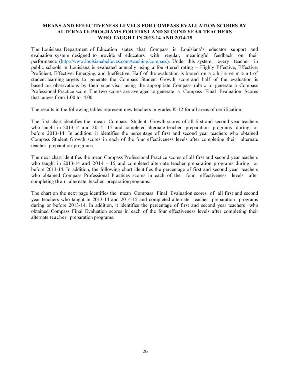The Louisiana Department of Education states that Compass is Louisiana's educator support and evaluation system designed to provide all educators with regular, meaningful feedback on their performance (http://www.louisianabelieves.com/teaching/compass). Under this system, every teacher in public schools in Louisiana is evaluated annually using a four-tiered rating – Highly Effective, Effective: Proficient, Effective: Emerging, and Ineffective. Half of the evaluation is based on a c h i e ve m e n t of student learning targets to generate the Compass Student Growth score and half of the evaluation is based on observations by their supervisor using the appropriate Compass rubric to generate a Compass Professional Practice score. The two scores are averaged to generate a Compass Final Evaluation Scores that ranges from 1.00 to 4.00.

The results in the following tables represent new teachers in grades K-12 for all areas of certification.

The first chart identifies the mean Compass Student Growth scores of all first and second year teachers who taught in 2013-14 and 2014 -15 and completed alternate teacher preparation programs during or before 2013-14. In addition, it identifies the percentage of first and second year teachers who obtained Compass Student Growth scores in each of the four effectiveness levels after completing their alternate teacher preparation programs.

The next chart identifies the mean Compass Professional Practice scores of all first and second year teachers who taught in 2013-14 and 2014 - 15 and completed alternate teacher preparation programs during or before 2013-14. In addition, the following chart identifies the percentage of first and second year teachers who obtained Compass Professional Practices scores in each of the four effectiveness levels after completing their alternate teacher preparation programs.

The chart on the next page identifies the mean Compass Final Evaluation scores of all first and second year teachers who taught in 2013-14 and 2014-15 and completed alternate teacher preparation programs during or before 2013-14. In addition, it identifies the percentage of first and second year teachers who obtained Compass Final Evaluation scores in each of the four effectiveness levels after completing their alternate teacher preparation programs.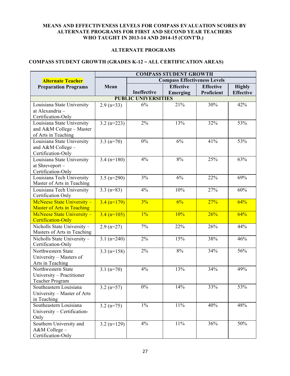#### **ALTERNATE PROGRAMS**

## **COMPASS STUDENT GROWTH (GRADES K-12 – ALL CERTIFICATION AREAS)**

|                                                            | <b>COMPASS STUDENT GROWTH</b>       |                            |                  |                  |                  |  |
|------------------------------------------------------------|-------------------------------------|----------------------------|------------------|------------------|------------------|--|
| <b>Alternate Teacher</b>                                   | <b>Compass Effectiveness Levels</b> |                            |                  |                  |                  |  |
| <b>Preparation Programs</b>                                | Mean                                |                            | <b>Effective</b> | <b>Effective</b> | <b>Highly</b>    |  |
|                                                            |                                     | Ineffective                | <b>Emerging</b>  | Proficient       | <b>Effective</b> |  |
|                                                            |                                     | <b>PUBLIC UNIVERSITIES</b> |                  |                  |                  |  |
| Louisiana State University                                 | $2.9$ (n=33)                        | 6%                         | 21%              | 30%              | 42%              |  |
| at Alexandria -                                            |                                     |                            |                  |                  |                  |  |
| Certification-Only                                         |                                     |                            |                  |                  |                  |  |
| Louisiana State University                                 | $3.2 (n=223)$                       | 2%                         | 13%              | 32%              | 53%              |  |
| and A&M College - Master                                   |                                     |                            |                  |                  |                  |  |
| of Arts in Teaching                                        |                                     |                            |                  |                  |                  |  |
| Louisiana State University                                 | $3.3 (n=70)$                        | 0%                         | 6%               | 41%              | 53%              |  |
| and A&M College -                                          |                                     |                            |                  |                  |                  |  |
| Certification-Only                                         |                                     |                            |                  |                  |                  |  |
| Louisiana State University                                 | $3.4 (n=180)$                       | 4%                         | $8\%$            | 25%              | 63%              |  |
| at Shreveport-                                             |                                     |                            |                  |                  |                  |  |
| Certification-Only                                         |                                     |                            |                  |                  |                  |  |
| Louisiana Tech University                                  | $3.5 (n=290)$                       | 3%                         | 6%               | 22%              | 69%              |  |
| Master of Arts in Teaching                                 |                                     |                            |                  |                  |                  |  |
| Louisiana Tech University                                  | $3.3 (n=83)$                        | 4%                         | 10%              | 27%              | 60%              |  |
| Certification Only                                         |                                     |                            |                  |                  |                  |  |
| McNeese State University -                                 | $3.4 (n=179)$                       | 3%                         | $6\%$            | 27%              | 64%              |  |
| <b>Master of Arts in Teaching</b>                          |                                     |                            |                  |                  |                  |  |
| McNeese State University -                                 | $3.4 (n=105)$                       | $1\%$                      | 10%              | 26%              | 64%              |  |
| Certification-Only                                         |                                     |                            |                  |                  |                  |  |
| Nicholls State University -<br>Masters of Arts in Teaching | $2.9$ (n=27)                        | 7%                         | 22%              | 26%              | 44%              |  |
|                                                            | $3.1 (n=240)$                       | 2%                         | 15%              | 38%              | 46%              |  |
| Nicholls State University -<br>Certification-Only          |                                     |                            |                  |                  |                  |  |
| Northwestern State                                         | $3.3$ (n=158)                       | 2%                         | 8%               | 34%              | 56%              |  |
| University - Masters of                                    |                                     |                            |                  |                  |                  |  |
| Arts in Teaching                                           |                                     |                            |                  |                  |                  |  |
| Northwestern State                                         | $3.1 (n=70)$                        | 4%                         | 13%              | 34%              | 49%              |  |
| University - Practitioner                                  |                                     |                            |                  |                  |                  |  |
| Teacher Program                                            |                                     |                            |                  |                  |                  |  |
| Southeastern Louisiana                                     | $3.2 (n=57)$                        | $0\%$                      | 14%              | 33%              | 53%              |  |
| University – Master of Arts                                |                                     |                            |                  |                  |                  |  |
| in Teaching                                                |                                     |                            |                  |                  |                  |  |
| Southeastern Louisiana                                     | $3.2 (n=75)$                        | $1\%$                      | $11\%$           | 40%              | 48%              |  |
| University - Certification-                                |                                     |                            |                  |                  |                  |  |
| Only                                                       |                                     |                            |                  |                  |                  |  |
| Southern University and                                    | $3.2 (n=129)$                       | 4%                         | $11\%$           | 36%              | 50%              |  |
| A&M College-                                               |                                     |                            |                  |                  |                  |  |
| Certification-Only                                         |                                     |                            |                  |                  |                  |  |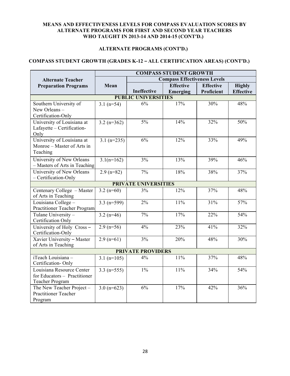## **ALTERNATE PROGRAMS (CONT'D.)**

# **COMPASS STUDENT GROWTH (GRADES K-12 – ALL CERTIFICATION AREAS) (CONT'D.)**

|                                                                              | <b>COMPASS STUDENT GROWTH</b> |                                     |                              |                                |                                   |  |
|------------------------------------------------------------------------------|-------------------------------|-------------------------------------|------------------------------|--------------------------------|-----------------------------------|--|
| <b>Alternate Teacher</b>                                                     |                               | <b>Compass Effectiveness Levels</b> |                              |                                |                                   |  |
| <b>Preparation Programs</b>                                                  | Mean                          | Ineffective                         | <b>Effective</b><br>Emerging | <b>Effective</b><br>Proficient | <b>Highly</b><br><b>Effective</b> |  |
|                                                                              |                               | <b>PUBLIC UNIVERSITIES</b>          |                              |                                |                                   |  |
| Southern University of<br>New Orleans -<br>Certification-Only                | $3.1 (n=54)$                  | 6%                                  | 17%                          | 30%                            | 48%                               |  |
| University of Louisiana at<br>Lafayette - Certification-<br>Only             | $3.2 (n=362)$                 | $5\%$                               | 14%                          | 32%                            | 50%                               |  |
| University of Louisiana at<br>Monroe – Master of Arts in<br>Teaching         | $3.1 (n=235)$                 | 6%                                  | 12%                          | 33%                            | 49%                               |  |
| University of New Orleans<br>- Masters of Arts in Teaching                   | $3.1(n=162)$                  | 3%                                  | 13%                          | 39%                            | 46%                               |  |
| University of New Orleans<br>- Certification-Only                            | $2.9$ (n=82)                  | 7%                                  | 18%                          | 38%                            | 37%                               |  |
|                                                                              |                               | <b>PRIVATE UNIVERSITIES</b>         |                              |                                |                                   |  |
| Centenary College - Master<br>of Arts in Teaching                            | $3.2(n=60)$                   | 3%                                  | 12%                          | 37%                            | 48%                               |  |
| Louisiana College -<br>Practitioner Teacher Program                          | 3.3 $(n=599)$                 | 2%                                  | 11%                          | 31%                            | 57%                               |  |
| Tulane University -<br>Certification Only                                    | $3.2 (n=46)$                  | 7%                                  | 17%                          | 22%                            | 54%                               |  |
| University of Holy Cross-<br>Certification-Only                              | $2.9$ (n=56)                  | 4%                                  | 23%                          | 41%                            | 32%                               |  |
| Xavier University - Master<br>of Arts in Teaching                            | $2.9$ (n=61)                  | 3%                                  | 20%                          | 48%                            | 30%                               |  |
|                                                                              |                               | <b>PRIVATE PROVIDERS</b>            |                              |                                |                                   |  |
| iTeach Louisiana -<br>Certification-Only                                     | $3.1 (n=105)$                 | 4%                                  | 11%                          | 37%                            | 48%                               |  |
| Louisiana Resource Center<br>for Educators - Practitioner<br>Teacher Program | $3.3 (n=555)$                 | $1\%$                               | 11%                          | 34%                            | 54%                               |  |
| The New Teacher Project -<br><b>Practitioner Teacher</b><br>Program          | $3.0 (n=623)$                 | 6%                                  | 17%                          | 42%                            | 36%                               |  |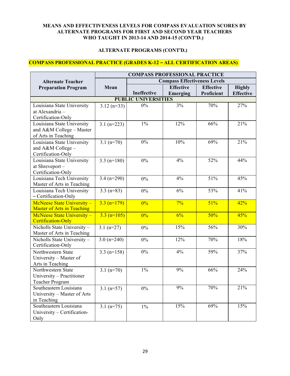#### **ALTERNATE PROGRAMS (CONT'D.)**

## **COMPASS PROFESSIONAL PRACTICE (GRADES K-12 – ALL CERTIFICATION AREAS)**

| <b>Compass Effectiveness Levels</b><br><b>Alternate Teacher</b><br>Mean<br><b>Effective</b><br><b>Preparation Program</b><br><b>Effective</b><br><b>Highly</b><br>Ineffective<br>Emerging<br>Proficient<br><b>Effective</b><br><b>PUBLIC UNIVERSITIES</b><br>$0\%$<br>3%<br>70%<br>27%<br>Louisiana State University<br>$3.12 (n=33)$<br>at Alexandria -<br>Certification-Only<br>$1\%$<br>12%<br>66%<br>21%<br>Louisiana State University<br>$3.1 (n=223)$<br>and A&M College - Master<br>of Arts in Teaching<br>0%<br>21%<br>10%<br>69%<br>$3.1 (n=70)$<br>Louisiana State University<br>and A&M College -<br>Certification-Only |                            | <b>COMPASS PROFESSIONAL PRACTICE</b> |       |    |     |     |  |
|------------------------------------------------------------------------------------------------------------------------------------------------------------------------------------------------------------------------------------------------------------------------------------------------------------------------------------------------------------------------------------------------------------------------------------------------------------------------------------------------------------------------------------------------------------------------------------------------------------------------------------|----------------------------|--------------------------------------|-------|----|-----|-----|--|
|                                                                                                                                                                                                                                                                                                                                                                                                                                                                                                                                                                                                                                    |                            |                                      |       |    |     |     |  |
|                                                                                                                                                                                                                                                                                                                                                                                                                                                                                                                                                                                                                                    |                            |                                      |       |    |     |     |  |
|                                                                                                                                                                                                                                                                                                                                                                                                                                                                                                                                                                                                                                    |                            |                                      |       |    |     |     |  |
|                                                                                                                                                                                                                                                                                                                                                                                                                                                                                                                                                                                                                                    |                            |                                      |       |    |     |     |  |
|                                                                                                                                                                                                                                                                                                                                                                                                                                                                                                                                                                                                                                    |                            |                                      |       |    |     |     |  |
|                                                                                                                                                                                                                                                                                                                                                                                                                                                                                                                                                                                                                                    |                            |                                      |       |    |     |     |  |
|                                                                                                                                                                                                                                                                                                                                                                                                                                                                                                                                                                                                                                    |                            |                                      |       |    |     |     |  |
|                                                                                                                                                                                                                                                                                                                                                                                                                                                                                                                                                                                                                                    |                            |                                      |       |    |     |     |  |
|                                                                                                                                                                                                                                                                                                                                                                                                                                                                                                                                                                                                                                    |                            |                                      |       |    |     |     |  |
|                                                                                                                                                                                                                                                                                                                                                                                                                                                                                                                                                                                                                                    |                            |                                      |       |    |     |     |  |
|                                                                                                                                                                                                                                                                                                                                                                                                                                                                                                                                                                                                                                    |                            |                                      |       |    |     |     |  |
|                                                                                                                                                                                                                                                                                                                                                                                                                                                                                                                                                                                                                                    |                            |                                      |       |    |     |     |  |
|                                                                                                                                                                                                                                                                                                                                                                                                                                                                                                                                                                                                                                    |                            |                                      |       |    |     |     |  |
|                                                                                                                                                                                                                                                                                                                                                                                                                                                                                                                                                                                                                                    | Louisiana State University | $3.3 (n=180)$                        | $0\%$ | 4% | 52% | 44% |  |
| at Shreveport-                                                                                                                                                                                                                                                                                                                                                                                                                                                                                                                                                                                                                     |                            |                                      |       |    |     |     |  |
| Certification-Only                                                                                                                                                                                                                                                                                                                                                                                                                                                                                                                                                                                                                 |                            |                                      |       |    |     |     |  |
| 51%<br>45%<br>Louisiana Tech University<br>$3.4 (n=290)$<br>4%<br>0%                                                                                                                                                                                                                                                                                                                                                                                                                                                                                                                                                               |                            |                                      |       |    |     |     |  |
| Master of Arts in Teaching                                                                                                                                                                                                                                                                                                                                                                                                                                                                                                                                                                                                         |                            |                                      |       |    |     |     |  |
| Louisiana Tech University<br>$3.3 (n=83)$<br>6%<br>53%<br>41%<br>0%                                                                                                                                                                                                                                                                                                                                                                                                                                                                                                                                                                |                            |                                      |       |    |     |     |  |
| - Certification-Only                                                                                                                                                                                                                                                                                                                                                                                                                                                                                                                                                                                                               |                            |                                      |       |    |     |     |  |
| 51%<br>McNeese State University -<br>$7\%$<br>42%<br>$3.3 (n=179)$<br>0%                                                                                                                                                                                                                                                                                                                                                                                                                                                                                                                                                           |                            |                                      |       |    |     |     |  |
| <b>Master of Arts in Teaching</b>                                                                                                                                                                                                                                                                                                                                                                                                                                                                                                                                                                                                  |                            |                                      |       |    |     |     |  |
| 50%<br>McNeese State University -<br>6%<br>45%<br>$3.3 (n=105)$<br>0%                                                                                                                                                                                                                                                                                                                                                                                                                                                                                                                                                              |                            |                                      |       |    |     |     |  |
| Certification-Only                                                                                                                                                                                                                                                                                                                                                                                                                                                                                                                                                                                                                 |                            |                                      |       |    |     |     |  |
| 15%<br>Nicholls State University -<br>$3.1 (n=27)$<br>56%<br>30%<br>$0\%$                                                                                                                                                                                                                                                                                                                                                                                                                                                                                                                                                          |                            |                                      |       |    |     |     |  |
| Master of Arts in Teaching                                                                                                                                                                                                                                                                                                                                                                                                                                                                                                                                                                                                         |                            |                                      |       |    |     |     |  |
| 18%<br>12%<br>70%<br>Nicholls State University -<br>$3.0 (n=240)$<br>$0\%$                                                                                                                                                                                                                                                                                                                                                                                                                                                                                                                                                         |                            |                                      |       |    |     |     |  |
| Certification-Only                                                                                                                                                                                                                                                                                                                                                                                                                                                                                                                                                                                                                 |                            |                                      |       |    |     |     |  |
| $0\%$<br>4%<br>59%<br>37%<br>Northwestern State<br>$3.3$ (n=158)                                                                                                                                                                                                                                                                                                                                                                                                                                                                                                                                                                   |                            |                                      |       |    |     |     |  |
| University - Master of                                                                                                                                                                                                                                                                                                                                                                                                                                                                                                                                                                                                             |                            |                                      |       |    |     |     |  |
| Arts in Teaching<br>$1\%$<br>9%<br>66%<br>24%<br>Northwestern State                                                                                                                                                                                                                                                                                                                                                                                                                                                                                                                                                                |                            |                                      |       |    |     |     |  |
| $3.1 (n=70)$                                                                                                                                                                                                                                                                                                                                                                                                                                                                                                                                                                                                                       |                            |                                      |       |    |     |     |  |
| University - Practitioner<br><b>Teacher Program</b>                                                                                                                                                                                                                                                                                                                                                                                                                                                                                                                                                                                |                            |                                      |       |    |     |     |  |
| 9%<br>70%<br>21%<br>Southeastern Louisiana<br>$3.1 (n=57)$                                                                                                                                                                                                                                                                                                                                                                                                                                                                                                                                                                         |                            |                                      |       |    |     |     |  |
| $0\%$<br>University - Master of Arts                                                                                                                                                                                                                                                                                                                                                                                                                                                                                                                                                                                               |                            |                                      |       |    |     |     |  |
| in Teaching                                                                                                                                                                                                                                                                                                                                                                                                                                                                                                                                                                                                                        |                            |                                      |       |    |     |     |  |
| 15%<br>69%<br>15%<br>Southeastern Louisiana<br>$3.1 (n=75)$<br>$1\%$                                                                                                                                                                                                                                                                                                                                                                                                                                                                                                                                                               |                            |                                      |       |    |     |     |  |
| University - Certification-                                                                                                                                                                                                                                                                                                                                                                                                                                                                                                                                                                                                        |                            |                                      |       |    |     |     |  |
| Only                                                                                                                                                                                                                                                                                                                                                                                                                                                                                                                                                                                                                               |                            |                                      |       |    |     |     |  |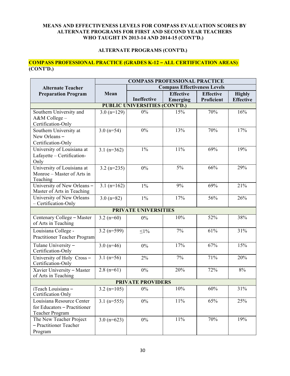## **ALTERNATE PROGRAMS (CONT'D.)**

#### **COMPASS PROFESSIONAL PRACTICE (GRADES K-12 – ALL CERTIFICATION AREAS) (CONT'D.)**

|                                      | <b>COMPASS PROFESSIONAL PRACTICE</b> |                             |                                     |                  |                  |  |  |  |  |
|--------------------------------------|--------------------------------------|-----------------------------|-------------------------------------|------------------|------------------|--|--|--|--|
| <b>Alternate Teacher</b>             |                                      |                             | <b>Compass Effectiveness Levels</b> |                  |                  |  |  |  |  |
| <b>Preparation Program</b>           | Mean                                 |                             | <b>Effective</b>                    | <b>Effective</b> | <b>Highly</b>    |  |  |  |  |
|                                      |                                      | Ineffective                 | <b>Emerging</b>                     | Proficient       | <b>Effective</b> |  |  |  |  |
| <b>PUBLIC UNIVERSITIES (CONT'D.)</b> |                                      |                             |                                     |                  |                  |  |  |  |  |
| Southern University and              | $3.0 (n=129)$                        | $0\%$                       | 15%                                 | 70%              | 16%              |  |  |  |  |
| A&M College-                         |                                      |                             |                                     |                  |                  |  |  |  |  |
| Certification-Only                   |                                      |                             |                                     |                  |                  |  |  |  |  |
| Southern University at               | $3.0 (n=54)$                         | 0%                          | 13%                                 | 70%              | 17%              |  |  |  |  |
| New Orleans-                         |                                      |                             |                                     |                  |                  |  |  |  |  |
| Certification-Only                   |                                      |                             |                                     |                  |                  |  |  |  |  |
| University of Louisiana at           | $3.1 (n=362)$                        | $1\%$                       | 11%                                 | 69%              | 19%              |  |  |  |  |
| Lafayette - Certification-           |                                      |                             |                                     |                  |                  |  |  |  |  |
| Only                                 |                                      |                             |                                     |                  |                  |  |  |  |  |
| University of Louisiana at           | $3.2 (n=235)$                        | 0%                          | $5\%$                               | 66%              | 29%              |  |  |  |  |
| Monroe – Master of Arts in           |                                      |                             |                                     |                  |                  |  |  |  |  |
| Teaching                             |                                      |                             |                                     |                  |                  |  |  |  |  |
| University of New Orleans -          | $3.1 (n=162)$                        | $1\%$                       | 9%                                  | 69%              | 21%              |  |  |  |  |
| Master of Arts in Teaching           |                                      |                             |                                     |                  |                  |  |  |  |  |
| University of New Orleans            | $3.0 (n=82)$                         | $1\%$                       | 17%                                 | 56%              | 26%              |  |  |  |  |
| - Certification-Only                 |                                      |                             |                                     |                  |                  |  |  |  |  |
|                                      |                                      | <b>PRIVATE UNIVERSITIES</b> |                                     |                  |                  |  |  |  |  |
| Centenary College - Master           | 3.2 $(n=60)$                         | 0%                          | 10%                                 | 52%              | 38%              |  |  |  |  |
| of Arts in Teaching                  |                                      |                             |                                     |                  |                  |  |  |  |  |
| Louisiana College -                  | 3.2 $(n=599)$                        | $\leq1\%$                   | 7%                                  | 61%              | 31%              |  |  |  |  |
| Practitioner Teacher Program         |                                      |                             |                                     |                  |                  |  |  |  |  |
| Tulane University -                  | $3.0 (n=46)$                         | 0%                          | 17%                                 | 67%              | 15%              |  |  |  |  |
| Certification-Only                   |                                      |                             |                                     |                  |                  |  |  |  |  |
| University of Holy Cross -           | $3.1 (n=56)$                         | 2%                          | 7%                                  | 71%              | 20%              |  |  |  |  |
| Certification-Only                   |                                      |                             |                                     |                  |                  |  |  |  |  |
| Xavier University - Master           | $2.8(n=61)$                          | 0%                          | 20%                                 | 72%              | $8\%$            |  |  |  |  |
| of Arts in Teaching                  |                                      |                             |                                     |                  |                  |  |  |  |  |
|                                      |                                      | <b>PRIVATE PROVIDERS</b>    |                                     |                  |                  |  |  |  |  |
| iTeach Louisiana -                   | $3.2 (n=105)$                        | 0%                          | 10%                                 | 60%              | 31%              |  |  |  |  |
| Certification Only                   |                                      |                             |                                     |                  |                  |  |  |  |  |
| Louisiana Resource Center            | $3.1 (n=555)$                        | $0\%$                       | $11\%$                              | 65%              | 25%              |  |  |  |  |
| for Educators - Practitioner         |                                      |                             |                                     |                  |                  |  |  |  |  |
| Teacher Program                      |                                      |                             |                                     |                  |                  |  |  |  |  |
| The New Teacher Project              | $3.0 (n=623)$                        | $0\%$                       | $11\%$                              | 70%              | 19%              |  |  |  |  |
| - Practitioner Teacher               |                                      |                             |                                     |                  |                  |  |  |  |  |
| Program                              |                                      |                             |                                     |                  |                  |  |  |  |  |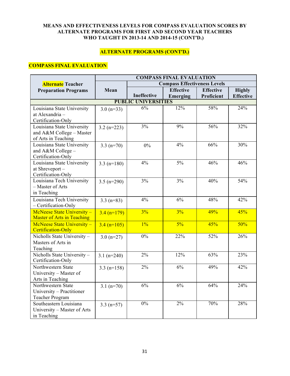## **ALTERNATE PROGRAMS (CONT'D.)**

## **COMPASS FINAL EVALUATION**

| <b>Compass Effectiveness Levels</b><br>Alternate Teacher<br><b>Effective</b><br>Effective<br><b>Highly</b><br><b>Preparation Programs</b><br>Mean<br>Ineffective<br>Proficient<br><b>Effective</b><br>Emerging<br><b>PUBLIC UNIVERSITIES</b><br>6%<br>12%<br>58%<br>24%<br>Louisiana State University<br>$3.0 (n=33)$<br>at Alexandria -<br>Certification-Only<br>3%<br>9%<br>56%<br>32%<br>Louisiana State University<br>$3.2 (n=223)$<br>and A&M College - Master<br>of Arts in Teaching<br>4%<br>66%<br>30%<br>Louisiana State University<br>$0\%$<br>$3.3 (n=70)$<br>and A&M College -<br>Certification-Only<br>$4\%$<br>$5\%$<br>46%<br>46%<br>Louisiana State University<br>$3.3 (n=180)$<br>at Shreveport-<br>Certification-Only<br>Louisiana Tech University<br>3%<br>3%<br>40%<br>54%<br>$3.5 (n=290)$<br>- Master of Arts |
|-------------------------------------------------------------------------------------------------------------------------------------------------------------------------------------------------------------------------------------------------------------------------------------------------------------------------------------------------------------------------------------------------------------------------------------------------------------------------------------------------------------------------------------------------------------------------------------------------------------------------------------------------------------------------------------------------------------------------------------------------------------------------------------------------------------------------------------|
|                                                                                                                                                                                                                                                                                                                                                                                                                                                                                                                                                                                                                                                                                                                                                                                                                                     |
|                                                                                                                                                                                                                                                                                                                                                                                                                                                                                                                                                                                                                                                                                                                                                                                                                                     |
|                                                                                                                                                                                                                                                                                                                                                                                                                                                                                                                                                                                                                                                                                                                                                                                                                                     |
|                                                                                                                                                                                                                                                                                                                                                                                                                                                                                                                                                                                                                                                                                                                                                                                                                                     |
|                                                                                                                                                                                                                                                                                                                                                                                                                                                                                                                                                                                                                                                                                                                                                                                                                                     |
|                                                                                                                                                                                                                                                                                                                                                                                                                                                                                                                                                                                                                                                                                                                                                                                                                                     |
|                                                                                                                                                                                                                                                                                                                                                                                                                                                                                                                                                                                                                                                                                                                                                                                                                                     |
|                                                                                                                                                                                                                                                                                                                                                                                                                                                                                                                                                                                                                                                                                                                                                                                                                                     |
|                                                                                                                                                                                                                                                                                                                                                                                                                                                                                                                                                                                                                                                                                                                                                                                                                                     |
|                                                                                                                                                                                                                                                                                                                                                                                                                                                                                                                                                                                                                                                                                                                                                                                                                                     |
|                                                                                                                                                                                                                                                                                                                                                                                                                                                                                                                                                                                                                                                                                                                                                                                                                                     |
|                                                                                                                                                                                                                                                                                                                                                                                                                                                                                                                                                                                                                                                                                                                                                                                                                                     |
|                                                                                                                                                                                                                                                                                                                                                                                                                                                                                                                                                                                                                                                                                                                                                                                                                                     |
|                                                                                                                                                                                                                                                                                                                                                                                                                                                                                                                                                                                                                                                                                                                                                                                                                                     |
|                                                                                                                                                                                                                                                                                                                                                                                                                                                                                                                                                                                                                                                                                                                                                                                                                                     |
|                                                                                                                                                                                                                                                                                                                                                                                                                                                                                                                                                                                                                                                                                                                                                                                                                                     |
|                                                                                                                                                                                                                                                                                                                                                                                                                                                                                                                                                                                                                                                                                                                                                                                                                                     |
| in Teaching                                                                                                                                                                                                                                                                                                                                                                                                                                                                                                                                                                                                                                                                                                                                                                                                                         |
| Louisiana Tech University<br>48%<br>42%<br>4%<br>6%<br>$3.3 (n=83)$                                                                                                                                                                                                                                                                                                                                                                                                                                                                                                                                                                                                                                                                                                                                                                 |
| - Certification-Only                                                                                                                                                                                                                                                                                                                                                                                                                                                                                                                                                                                                                                                                                                                                                                                                                |
| 49%<br>45%<br>McNeese State University -<br>3%<br>3%<br>$3.4 (n=179)$                                                                                                                                                                                                                                                                                                                                                                                                                                                                                                                                                                                                                                                                                                                                                               |
| <b>Master of Arts in Teaching</b>                                                                                                                                                                                                                                                                                                                                                                                                                                                                                                                                                                                                                                                                                                                                                                                                   |
| $1\%$<br>50%<br>McNeese State University -<br>$5\%$<br>45%<br>$3.4 (n=105)$                                                                                                                                                                                                                                                                                                                                                                                                                                                                                                                                                                                                                                                                                                                                                         |
| <b>Certification-Only</b>                                                                                                                                                                                                                                                                                                                                                                                                                                                                                                                                                                                                                                                                                                                                                                                                           |
| Nicholls State University -<br>$\overline{0\%}$<br>22%<br>52%<br>26%<br>$3.0 (n=27)$                                                                                                                                                                                                                                                                                                                                                                                                                                                                                                                                                                                                                                                                                                                                                |
| Masters of Arts in                                                                                                                                                                                                                                                                                                                                                                                                                                                                                                                                                                                                                                                                                                                                                                                                                  |
| Teaching                                                                                                                                                                                                                                                                                                                                                                                                                                                                                                                                                                                                                                                                                                                                                                                                                            |
| Nicholls State University -<br>2%<br>12%<br>63%<br>23%<br>$3.1 (n=240)$                                                                                                                                                                                                                                                                                                                                                                                                                                                                                                                                                                                                                                                                                                                                                             |
| Certification-Only                                                                                                                                                                                                                                                                                                                                                                                                                                                                                                                                                                                                                                                                                                                                                                                                                  |
| Northwestern State<br>2%<br>6%<br>49%<br>42%<br>$3.3 (n=158)$                                                                                                                                                                                                                                                                                                                                                                                                                                                                                                                                                                                                                                                                                                                                                                       |
| University - Master of                                                                                                                                                                                                                                                                                                                                                                                                                                                                                                                                                                                                                                                                                                                                                                                                              |
| Arts in Teaching                                                                                                                                                                                                                                                                                                                                                                                                                                                                                                                                                                                                                                                                                                                                                                                                                    |
| Northwestern State<br>6%<br>6%<br>64%<br>24%<br>$3.1 (n=70)$                                                                                                                                                                                                                                                                                                                                                                                                                                                                                                                                                                                                                                                                                                                                                                        |
| University - Practitioner                                                                                                                                                                                                                                                                                                                                                                                                                                                                                                                                                                                                                                                                                                                                                                                                           |
| Teacher Program<br>Southeastern Louisiana<br>$0\%$<br>70%<br>28%<br>$2\%$                                                                                                                                                                                                                                                                                                                                                                                                                                                                                                                                                                                                                                                                                                                                                           |
| $3.3 (n=57)$<br>University - Master of Arts                                                                                                                                                                                                                                                                                                                                                                                                                                                                                                                                                                                                                                                                                                                                                                                         |
| in Teaching                                                                                                                                                                                                                                                                                                                                                                                                                                                                                                                                                                                                                                                                                                                                                                                                                         |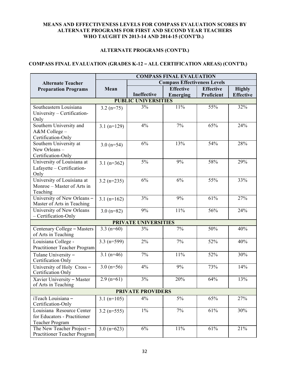#### **ALTERNATE PROGRAMS (CONT'D.)**

## **COMPASS FINAL EVALUATION (GRADES K-12 – ALL CERTIFICATION AREAS) (CONT'D.)**

|                                                                                     | <b>COMPASS FINAL EVALUATION</b> |                             |                                     |                  |                  |  |  |  |  |  |
|-------------------------------------------------------------------------------------|---------------------------------|-----------------------------|-------------------------------------|------------------|------------------|--|--|--|--|--|
| <b>Alternate Teacher</b>                                                            |                                 |                             | <b>Compass Effectiveness Levels</b> |                  |                  |  |  |  |  |  |
| <b>Preparation Programs</b>                                                         | Mean                            |                             | <b>Effective</b>                    | <b>Effective</b> | <b>Highly</b>    |  |  |  |  |  |
|                                                                                     |                                 | Ineffective                 | Emerging                            | Proficient       | <b>Effective</b> |  |  |  |  |  |
| <b>PUBLIC UNIVERSITIES</b>                                                          |                                 |                             |                                     |                  |                  |  |  |  |  |  |
| Southeastern Louisiana<br>University - Certification-<br>Only                       | $3.2 (n=75)$                    | 3%                          | 11%                                 | 55%              | 32%              |  |  |  |  |  |
| Southern University and                                                             | $3.1 (n=129)$                   | 4%                          | 7%                                  | 65%              | 24%              |  |  |  |  |  |
| A&M College-<br>Certification-Only                                                  |                                 |                             |                                     |                  |                  |  |  |  |  |  |
| Southern University at<br>New Orleans -<br>Certification-Only                       | $3.0 (n=54)$                    | 6%                          | 13%                                 | 54%              | 28%              |  |  |  |  |  |
| University of Louisiana at<br>Lafayette - Certification-<br>Only                    | $3.1 (n=362)$                   | 5%                          | 9%                                  | 58%              | 29%              |  |  |  |  |  |
| University of Louisiana at<br>Monroe – Master of Arts in<br>Teaching                | $3.2 (n=235)$                   | 6%                          | 6%                                  | 55%              | 33%              |  |  |  |  |  |
| University of New Orleans -<br>Master of Arts in Teaching                           | $3.1$ (n=162)                   | 3%                          | 9%                                  | 61%              | 27%              |  |  |  |  |  |
| University of New Orleans<br>- Certification-Only                                   | $3.0 (n=82)$                    | 9%                          | 11%                                 | 56%              | 24%              |  |  |  |  |  |
|                                                                                     |                                 | <b>PRIVATE UNIVERSITIES</b> |                                     |                  |                  |  |  |  |  |  |
| Centenary College - Masters<br>of Arts in Teaching                                  | 3.3 $(n=60)$                    | 3%                          | 7%                                  | 50%              | 40%              |  |  |  |  |  |
| Louisiana College -<br>Practitioner Teacher Program                                 | $3.3 (n=599)$                   | 2%                          | 7%                                  | 52%              | 40%              |  |  |  |  |  |
| Tulane University -<br>Certification Only                                           | 3.1 $(n=46)$                    | 7%                          | 11%                                 | 52%              | 30%              |  |  |  |  |  |
| University of Holy Cross -<br>Certification Only                                    | $3.0 (n=56)$                    | 4%                          | 9%                                  | 73%              | 14%              |  |  |  |  |  |
| Xavier University - Master<br>of Arts in Teaching                                   | $2.9$ (n=61)                    | 3%                          | 20%                                 | 64%              | 13%              |  |  |  |  |  |
|                                                                                     |                                 | <b>PRIVATE PROVIDERS</b>    |                                     |                  |                  |  |  |  |  |  |
| iTeach Louisiana -<br>Certification-Only                                            | $3.1$ (n=105)                   | 4%                          | $5\%$                               | 65%              | 27%              |  |  |  |  |  |
| Louisiana Resource Center<br>for Educators - Practitioner<br><b>Teacher Program</b> | $3.2 (n=555)$                   | $1\%$                       | 7%                                  | 61%              | 30%              |  |  |  |  |  |
| The New Teacher Project-<br>Practitioner Teacher Program                            | $3.0 (n=623)$                   | 6%                          | 11%                                 | 61%              | 21%              |  |  |  |  |  |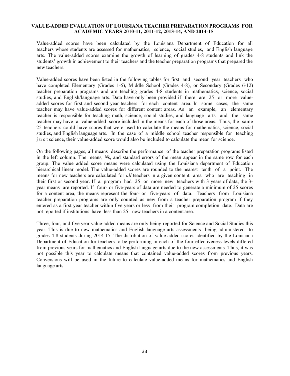#### **VALUE-ADDED EVALUATION OF LOUISIANA TEACHER PREPARATION PROGRAMS FOR ACADEMIC YEARS 2010-11, 2011-12, 2013-14, AND 2014-15**

Value-added scores have been calculated by the Louisiana Department of Education for all teachers whose students are assessed for mathematics, science, social studies, and English language arts. The value-added scores examine the growth of learning of grades 4-8 students and link the students' growth in achievement to their teachers and the teacher preparation programs that prepared the new teachers.

Value-added scores have been listed in the following tables for first and second year teachers who have completed Elementary (Grades 1-5), Middle School (Grades 4-8), or Secondary (Grades 6-12) teacher preparation programs and are teaching grades 4-8 students in mathematics, science, social studies, and English/language arts. Data have only been provided if there are 25 or more valueadded scores for first and second year teachers for each content area. In some cases, the same teacher may have value-added scores for different content areas. As an example, an elementary teacher is responsible for teaching math, science, social studies, and language arts and the same teacher may have a value-added score included in the means for each of those areas. Thus, the same 25 teachers could have scores that were used to calculate the means for mathematics, science, social studies, and English language arts. In the case of a middle school teacher responsible for teaching j u s t science, their value-added score would also be included to calculate the mean for science.

On the following pages, all means describe the performance of the teacher preparation programs listed in the left column. The means, *N*s, and standard errors of the mean appear in the same row for each group. The value added score means were calculated using the Louisiana department of Education hierarchical linear model. The value-added scores are rounded to the nearest tenth of a point. The means for new teachers are calculated for *all* teachers in a given content area who are teaching in their first or second year. If a program had 25 or more new teachers with 3 years of data, the 3 year means are reported. If four- or five-years of data are needed to generate a minimum of 25 scores for a content area, the means represent the four- or five-years of data. Teachers from Louisiana teacher preparation programs are only counted as new from a teacher preparation program if they entered as a first year teacher within five years or less from their program completion date. Data are not reported if institutions have less than 25 new teachers in a content area.

Three, four, and five year value-added means are only being reported for Science and Social Studies this year. This is due to new mathematics and English language arts assessments being administered to grades 4-8 students during 2014-15. The distribution of value-added scores identified by the Louisiana Department of Education for teachers to be performing in each of the four effectiveness levels differed from previous years for mathematics and English language arts due to the new assessments. Thus, it was not possible this year to calculate means that contained value-added scores from previous years. Conversions will be used in the future to calculate value-added means for mathematics and English language arts.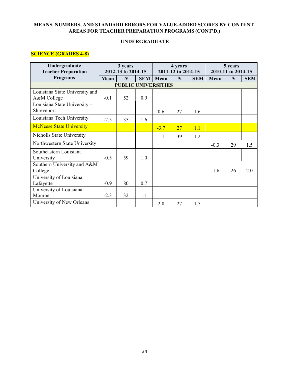#### **MEANS, NUMBERS, AND STANDARD ERRORS FOR VALUE-ADDED SCORES BY CONTENT AREAS FOR TEACHER PREPARATION PROGRAMS (CONT'D.)**

#### **UNDERGRADUATE**

## **SCIENCE (GRADES 4-8)**

| Undergraduate<br><b>Teacher Preparation</b>   | 3 years<br>2012-13 to 2014-15 |                            | 4 years<br>2011-12 to 2014-15 |        | 5 years<br>2010-11 to 2014-15 |            |        |                  |            |
|-----------------------------------------------|-------------------------------|----------------------------|-------------------------------|--------|-------------------------------|------------|--------|------------------|------------|
| <b>Programs</b>                               | Mean                          | $\boldsymbol{N}$           | <b>SEM</b>                    | Mean   | $\boldsymbol{N}$              | <b>SEM</b> | Mean   | $\boldsymbol{N}$ | <b>SEM</b> |
|                                               |                               | <b>PUBLIC UNIVERSITIES</b> |                               |        |                               |            |        |                  |            |
| Louisiana State University and<br>A&M College | $-0.1$                        | 52                         | 0.9                           |        |                               |            |        |                  |            |
| Louisiana State University-<br>Shreveport     |                               |                            |                               | 0.6    | 27                            | 1.6        |        |                  |            |
| Louisiana Tech University                     | $-2.5$                        | 35                         | 1.6                           |        |                               |            |        |                  |            |
| <b>McNeese State University</b>               |                               |                            |                               | $-3.7$ | 27                            | 1.1        |        |                  |            |
| Nicholls State University                     |                               |                            |                               | $-1.1$ | 39                            | 1.2        |        |                  |            |
| Northwestern State University                 |                               |                            |                               |        |                               |            | $-0.3$ | 29               | 1.5        |
| Southeastern Louisiana<br>University          | $-0.5$                        | 59                         | 1.0                           |        |                               |            |        |                  |            |
| Southern University and A&M<br>College        |                               |                            |                               |        |                               |            | $-1.6$ | 26               | 2.0        |
| University of Louisiana<br>Lafayette          | $-0.9$                        | 80                         | 0.7                           |        |                               |            |        |                  |            |
| University of Louisiana<br>Monroe             | $-2.3$                        | 32                         | 1.1                           |        |                               |            |        |                  |            |
| University of New Orleans                     |                               |                            |                               | 2.0    | 27                            | 1.5        |        |                  |            |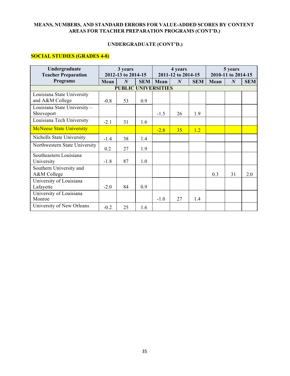## **MEANS, NUMBERS, AND STANDARD ERRORS FOR VALUE-ADDED SCORES BY CONTENT AREAS FOR TEACHER PREPARATION PROGRAMS (CONT'D.)**

#### **UNDERGRADUATE (CONT'D.)**

## **SOCIAL STUDIES (GRADES 4-8)**

| Undergraduate<br><b>Teacher Preparation</b> | 3 years<br>2012-13 to 2014-15 |                  | 4 years<br>2011-12 to 2014-15 |        | 5 years<br>2010-11 to 2014-15 |            |      |                  |            |  |
|---------------------------------------------|-------------------------------|------------------|-------------------------------|--------|-------------------------------|------------|------|------------------|------------|--|
| <b>Programs</b>                             | Mean                          | $\boldsymbol{N}$ | <b>SEM</b>                    | Mean   | $\boldsymbol{N}$              | <b>SEM</b> | Mean | $\boldsymbol{N}$ | <b>SEM</b> |  |
| <b>PUBLIC UNIVERSITIES</b>                  |                               |                  |                               |        |                               |            |      |                  |            |  |
| Louisiana State University                  |                               |                  |                               |        |                               |            |      |                  |            |  |
| and A&M College                             | $-0.8$                        | 53               | 0.9                           |        |                               |            |      |                  |            |  |
| Louisiana State University-                 |                               |                  |                               |        |                               |            |      |                  |            |  |
| Shreveport                                  |                               |                  |                               | $-1.5$ | 26                            | 1.9        |      |                  |            |  |
| Louisiana Tech University                   | $-2.1$                        | 31               | 1.6                           |        |                               |            |      |                  |            |  |
| <b>McNeese State University</b>             |                               |                  |                               | $-2.8$ | 35                            | 1.2        |      |                  |            |  |
| Nicholls State University                   | $-1.4$                        | 38               | 1.4                           |        |                               |            |      |                  |            |  |
| Northwestern State University               | 0.2                           | 27               | 1.9                           |        |                               |            |      |                  |            |  |
| Southeastern Louisiana                      |                               |                  |                               |        |                               |            |      |                  |            |  |
| University                                  | $-1.8$                        | 87               | 1.0                           |        |                               |            |      |                  |            |  |
| Southern University and                     |                               |                  |                               |        |                               |            |      |                  |            |  |
| A&M College                                 |                               |                  |                               |        |                               |            | 0.3  | 31               | 2.0        |  |
| University of Louisiana                     |                               |                  |                               |        |                               |            |      |                  |            |  |
| Lafayette                                   | $-2.0$                        | 84               | 0.9                           |        |                               |            |      |                  |            |  |
| University of Louisiana                     |                               |                  |                               |        |                               |            |      |                  |            |  |
| Monroe                                      |                               |                  |                               | $-1.0$ | 27                            | 1.4        |      |                  |            |  |
| University of New Orleans                   | $-0.2$                        | 25               | 1.6                           |        |                               |            |      |                  |            |  |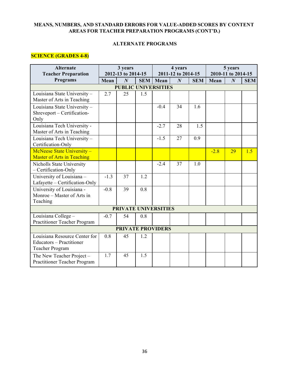## **MEANS, NUMBERS, AND STANDARD ERRORS FOR VALUE-ADDED SCORES BY CONTENT AREAS FOR TEACHER PREPARATION PROGRAMS (CONT'D.)**

#### **ALTERNATE PROGRAMS**

# **SCIENCE (GRADES 4-8)**

| <b>Alternate</b><br><b>Teacher Preparation</b>                                             |        | 3 years<br>2012-13 to 2014-15 |            |        | 4 years<br>2011-12 to 2014-15 |            |        | 5 years<br>2010-11 to 2014-15 |            |
|--------------------------------------------------------------------------------------------|--------|-------------------------------|------------|--------|-------------------------------|------------|--------|-------------------------------|------------|
| Programs                                                                                   | Mean   | $\boldsymbol{N}$              | <b>SEM</b> | Mean   | $\boldsymbol{N}$              | <b>SEM</b> | Mean   | $\boldsymbol{N}$              | <b>SEM</b> |
|                                                                                            |        | <b>PUBLIC UNIVERSITIES</b>    |            |        |                               |            |        |                               |            |
| Louisiana State University -<br>Master of Arts in Teaching                                 | 2.7    | 25                            | 1.5        |        |                               |            |        |                               |            |
| Louisiana State University -<br>Shreveport - Certification-<br>Only                        |        |                               |            | $-0.4$ | 34                            | 1.6        |        |                               |            |
| Louisiana Tech University -<br>Master of Arts in Teaching                                  |        |                               |            | $-2.7$ | 28                            | 1.5        |        |                               |            |
| Louisiana Tech University -<br>Certification-Only                                          |        |                               |            | $-1.5$ | 27                            | 0.9        |        |                               |            |
| McNeese State University -<br><b>Master of Arts in Teaching</b>                            |        |                               |            |        |                               |            | $-2.8$ | 29                            | 1.5        |
| Nicholls State University<br>- Certification-Only                                          |        |                               |            | $-2.4$ | 37                            | 1.0        |        |                               |            |
| University of Louisiana -<br>Lafayette - Certification-Only                                | $-1.3$ | 37                            | 1.2        |        |                               |            |        |                               |            |
| University of Louisiana -<br>Monroe - Master of Arts in<br>Teaching                        | $-0.8$ | 39                            | 0.8        |        |                               |            |        |                               |            |
|                                                                                            |        | <b>PRIVATE UNIVERSITIES</b>   |            |        |                               |            |        |                               |            |
| Louisiana College -<br>Practitioner Teacher Program                                        | $-0.7$ | 54                            | 0.8        |        |                               |            |        |                               |            |
|                                                                                            |        | <b>PRIVATE PROVIDERS</b>      |            |        |                               |            |        |                               |            |
| Louisiana Resource Center for<br><b>Educators - Practitioner</b><br><b>Teacher Program</b> | 0.8    | 45                            | 1.2        |        |                               |            |        |                               |            |
| The New Teacher Project -<br>Practitioner Teacher Program                                  | 1.7    | 45                            | 1.5        |        |                               |            |        |                               |            |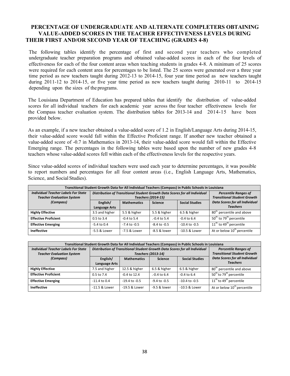The following tables identify the percentage of first and second year teachers who completed undergraduate teacher preparation programs and obtained value-added scores in each of the four levels of effectiveness for each of the four content areas when teaching students in grades 4-8. A minimum of 25 scores were required for each content area for percentages to be listed. The 25 scores were generated over a three year time period as new teachers taught during 2012-13 to 2014-15, four year time period as new teachers taught during 2011-12 to 2014-15, or five year time period as new teachers taught during 2010-11 to 2014-15 depending upon the sizes of the programs.

The Louisiana Department of Education has prepared tables that identify the distribution of value-added scores for all individual teachers for each academic year across the four teacher effectiveness levels for the Compass teacher evaluation system. The distribution tables for 2013-14 and 2014-15 have been provided below.

As an example, if a new teacher obtained a value-added score of 1.2 in English/Language Arts during 2014-15, their value-added score would fall within the Effective Proficient range. If another new teacher obtained a value-added score of -0.7 in Mathematics in 2013-14, their value-added score would fall within the Effective Emerging range. The percentages in the following tables were based upon the number of new grades 4-8 teachers whose value-added scores fell within each of the effectiveness levels for the respective years.

Since value-added scores of individual teachers were used each year to determine percentages, it was possible to report numbers and percentages for all four content areas (i.e., English Language Arts, Mathematics, Science, and Social Studies).

| Transitional Student Growth Data for All Individual Teachers (Compass) in Public Schools in Louisiana |                |                           |                                                                            |                                                                   |                                                          |  |  |  |  |
|-------------------------------------------------------------------------------------------------------|----------------|---------------------------|----------------------------------------------------------------------------|-------------------------------------------------------------------|----------------------------------------------------------|--|--|--|--|
| <b>Individual Teacher Labels For State</b><br><b>Teacher Evaluation System</b>                        |                | <b>Teachers (2014-15)</b> | Distribution of Transitional Student Growth Data Scores for all Individual | <b>Percentile Ranges of</b><br><b>Transitional Student Growth</b> |                                                          |  |  |  |  |
| (Compass)                                                                                             | English/       | <b>Mathematics</b>        | <b>Science</b>                                                             | <b>Social Studies</b>                                             | <b>Data Scores for all Individual</b><br><b>Teachers</b> |  |  |  |  |
|                                                                                                       | Language Arts  |                           |                                                                            |                                                                   |                                                          |  |  |  |  |
| <b>Highly Effective</b>                                                                               | 3.5 and higher | 5.5 & higher              | 5.5 & higher                                                               | 6.5 & higher                                                      | 80 <sup>th</sup> percentile and above                    |  |  |  |  |
| <b>Effective Proficient</b>                                                                           | $0.5$ to $3.4$ | $-0.4$ to 5.4             | $-0.4$ to 5.4                                                              | $-0.4$ to 6.4                                                     | 50 <sup>th</sup> to 79 <sup>th</sup> percentile          |  |  |  |  |
| <b>Effective Emerging</b>                                                                             | $-5.4$ to 0.4  | $-7.4$ to $-0.5$          | $-8.4$ to $-0.5$                                                           | $-10.4$ to $-0.5$                                                 | $11th$ to 49 <sup>th</sup> percentile                    |  |  |  |  |
| <b>Ineffective</b>                                                                                    | -5.5 & Lower   | -7.5 & Lower              | -8.5 & lower                                                               | $-10.5$ & Lower                                                   | At or below 10 <sup>th</sup> percentile                  |  |  |  |  |

| Transitional Student Growth Data for All Individual Teachers (Compass) in Public Schools in Louisiana |                |                    |                                                                            |                                                                   |                                                 |  |  |  |  |
|-------------------------------------------------------------------------------------------------------|----------------|--------------------|----------------------------------------------------------------------------|-------------------------------------------------------------------|-------------------------------------------------|--|--|--|--|
| <b>Individual Teacher Labels For State</b>                                                            |                |                    | Distribution of Transitional Student Growth Data Scores for all Individual | <b>Percentile Ranges of</b><br><b>Transitional Student Growth</b> |                                                 |  |  |  |  |
| <b>Teacher Evaluation System</b>                                                                      |                |                    | <b>Teachers (2013-14)</b>                                                  |                                                                   |                                                 |  |  |  |  |
| (Compass)                                                                                             | English/       | <b>Mathematics</b> | <b>Science</b>                                                             | <b>Social Studies</b>                                             | <b>Data Scores for all Individual</b>           |  |  |  |  |
|                                                                                                       | Language Arts  |                    |                                                                            |                                                                   | <b>Teachers</b>                                 |  |  |  |  |
| <b>Highly Effective</b>                                                                               | 7.5 and higher | 12.5 & higher      | 6.5 & higher                                                               | 6.5 & higher                                                      | 80 <sup>th</sup> percentile and above           |  |  |  |  |
| <b>Effective Proficient</b>                                                                           | $0.5$ to $7.4$ | $-0.4$ to 12.4     | $-0.4$ to 6.4                                                              | $-0.4$ to 6.4                                                     | 50 <sup>th</sup> to 79 <sup>th</sup> percentile |  |  |  |  |
| <b>Effective Emerging</b>                                                                             | $-11.4$ to 0.4 | $-19.4$ to $-0.5$  | $-9.4$ to $-0.5$                                                           | $-10.4$ to $-0.5$                                                 | 11 <sup>th</sup> to 49 <sup>th</sup> percentile |  |  |  |  |
| <b>Ineffective</b>                                                                                    | -11.5 & Lower  | -19.5 & Lower      | $-9.5$ & lower                                                             | $-10.5$ & Lower                                                   | At or below 10 <sup>th</sup> percentile         |  |  |  |  |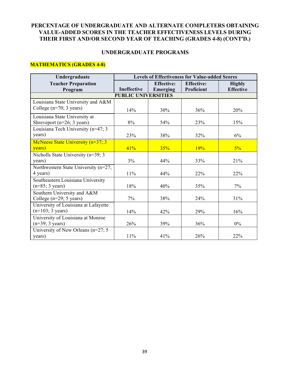#### **UNDERGRADUATE PROGRAMS**

## **MATHEMATICS (GRADES 4-8)**

| Undergraduate                                                           | <b>Levels of Effectiveness for Value-added Scores</b> |                               |                                 |                                   |  |  |  |  |  |  |
|-------------------------------------------------------------------------|-------------------------------------------------------|-------------------------------|---------------------------------|-----------------------------------|--|--|--|--|--|--|
| <b>Teacher Preparation</b><br>Program                                   | Ineffective                                           | <b>Effective:</b><br>Emerging | <b>Effective:</b><br>Proficient | <b>Highly</b><br><b>Effective</b> |  |  |  |  |  |  |
| <b>PUBLIC UNIVERSITIES</b>                                              |                                                       |                               |                                 |                                   |  |  |  |  |  |  |
| Louisiana State University and A&M<br>College $(n=70; 3 \text{ years})$ | 14%                                                   | 30%                           | 36%                             | 20%                               |  |  |  |  |  |  |
| Louisiana State University at<br>Shreveport $(n=26; 3 \text{ years})$   | 8%                                                    | 54%                           | 23%                             | 15%                               |  |  |  |  |  |  |
| Louisiana Tech University (n=47; 3                                      |                                                       |                               |                                 |                                   |  |  |  |  |  |  |
| years)                                                                  | 23%                                                   | 38%                           | 32%                             | 6%                                |  |  |  |  |  |  |
| McNeese State University (n=37; 3<br>years)                             | 41%                                                   | 35%                           | 19%                             | $5\%$                             |  |  |  |  |  |  |
| Nicholls State University (n=39; 3)                                     |                                                       |                               |                                 |                                   |  |  |  |  |  |  |
| years)                                                                  | 3%                                                    | 44%                           | 33%                             | 21%                               |  |  |  |  |  |  |
| Northwestern State University (n=27;<br>4 years)                        | 11%                                                   | 44%                           | 22%                             | 22%                               |  |  |  |  |  |  |
| Southeastern Louisiana University<br>$(n=85; 3 \text{ years})$          | 18%                                                   | 40%                           | 35%                             | $7\%$                             |  |  |  |  |  |  |
| Southern University and A&M<br>College ( $n=29$ ; 5 years)              | $7\%$                                                 | 38%                           | 24%                             | 31%                               |  |  |  |  |  |  |
| University of Louisiana at Lafayette<br>$(n=103; 3 \text{ years})$      | 14%                                                   | 42%                           | 29%                             | 16%                               |  |  |  |  |  |  |
| University of Louisiana at Monroe<br>$(n=39; 3 \text{ years})$          | 26%                                                   | 39%                           | 36%                             | $0\%$                             |  |  |  |  |  |  |
| University of New Orleans ( $n=27$ ; 5<br>years)                        | 11%                                                   | 41%                           | 26%                             | 22%                               |  |  |  |  |  |  |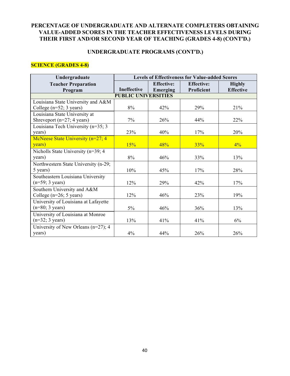### **UNDERGRADUATE PROGRAMS (CONT'D.)**

## **SCIENCE (GRADES 4-8)**

| Undergraduate                          | <b>Levels of Effectiveness for Value-added Scores</b> |                   |                   |                  |  |  |  |  |  |
|----------------------------------------|-------------------------------------------------------|-------------------|-------------------|------------------|--|--|--|--|--|
| <b>Teacher Preparation</b>             |                                                       | <b>Effective:</b> | <b>Effective:</b> | <b>Highly</b>    |  |  |  |  |  |
| Program                                | Ineffective                                           | Emerging          | Proficient        | <b>Effective</b> |  |  |  |  |  |
| <b>PUBLIC UNIVERSITIES</b>             |                                                       |                   |                   |                  |  |  |  |  |  |
| Louisiana State University and A&M     |                                                       |                   |                   |                  |  |  |  |  |  |
| College $(n=52; 3 \text{ years})$      | 8%                                                    | 42%               | 29%               | 21%              |  |  |  |  |  |
| Louisiana State University at          |                                                       |                   |                   |                  |  |  |  |  |  |
| Shreveport ( $n=27$ ; 4 years)         | 7%                                                    | 26%               | 44%               | 22%              |  |  |  |  |  |
| Louisiana Tech University (n=35; 3     |                                                       |                   |                   |                  |  |  |  |  |  |
| years)                                 | 23%                                                   | 40%               | 17%               | 20%              |  |  |  |  |  |
| McNeese State University (n=27; 4      |                                                       |                   |                   |                  |  |  |  |  |  |
| years)                                 | 15%                                                   | 48%               | 33%               | $4\%$            |  |  |  |  |  |
| Nicholls State University (n=39; 4)    |                                                       |                   |                   |                  |  |  |  |  |  |
| years)                                 | 8%                                                    | 46%               | 33%               | 13%              |  |  |  |  |  |
| Northwestern State University (n-29;   |                                                       |                   |                   |                  |  |  |  |  |  |
| 5 years)                               | 10%                                                   | 45%               | 17%               | 28%              |  |  |  |  |  |
| Southeastern Louisiana University      |                                                       |                   |                   |                  |  |  |  |  |  |
| $(n=59; 3 \text{ years})$              | 12%                                                   | 29%               | 42%               | 17%              |  |  |  |  |  |
| Southern University and A&M            |                                                       |                   |                   |                  |  |  |  |  |  |
| College ( $n=26$ ; 5 years)            | 12%                                                   | 46%               | 23%               | 19%              |  |  |  |  |  |
| University of Louisiana at Lafayette   |                                                       |                   |                   |                  |  |  |  |  |  |
| $(n=80; 3 \text{ years})$              | $5\%$                                                 | 46%               | 36%               | 13%              |  |  |  |  |  |
| University of Louisiana at Monroe      |                                                       |                   |                   |                  |  |  |  |  |  |
| $(n=32; 3 \text{ years})$              | 13%                                                   | 41%               | 41%               | 6%               |  |  |  |  |  |
| University of New Orleans $(n=27)$ ; 4 |                                                       |                   |                   |                  |  |  |  |  |  |
| years)                                 | 4%                                                    | 44%               | 26%               | 26%              |  |  |  |  |  |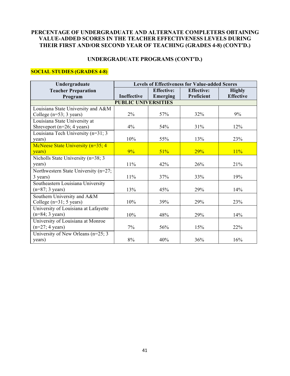# **UNDERGRADUATE PROGRAMS (CONT'D.)**

# **SOCIAL STUDIES (GRADES 4-8)**

| Undergraduate                        | <b>Levels of Effectiveness for Value-added Scores</b> |                   |                   |                  |  |  |  |  |  |
|--------------------------------------|-------------------------------------------------------|-------------------|-------------------|------------------|--|--|--|--|--|
| <b>Teacher Preparation</b>           |                                                       | <b>Effective:</b> | <b>Effective:</b> | <b>Highly</b>    |  |  |  |  |  |
| Program                              | Ineffective                                           | Emerging          | Proficient        | <b>Effective</b> |  |  |  |  |  |
| <b>PUBLIC UNIVERSITIES</b>           |                                                       |                   |                   |                  |  |  |  |  |  |
| Louisiana State University and A&M   |                                                       |                   |                   |                  |  |  |  |  |  |
| College $(n=53; 3 \text{ years})$    | 2%                                                    | 57%               | 32%               | 9%               |  |  |  |  |  |
| Louisiana State University at        |                                                       |                   |                   |                  |  |  |  |  |  |
| Shreveport $(n=26; 4 \text{ years})$ | 4%                                                    | 54%               | 31%               | 12%              |  |  |  |  |  |
| Louisiana Tech University (n=31; 3   |                                                       |                   |                   |                  |  |  |  |  |  |
| years)                               | 10%                                                   | 55%               | 13%               | 23%              |  |  |  |  |  |
| McNeese State University (n=35; 4)   |                                                       |                   |                   |                  |  |  |  |  |  |
| years)                               | $9\%$                                                 | 51%               | 29%               | 11%              |  |  |  |  |  |
| Nicholls State University (n=38; 3)  |                                                       |                   |                   |                  |  |  |  |  |  |
| years)                               | 11%                                                   | 42%               | 26%               | 21%              |  |  |  |  |  |
| Northwestern State University (n=27; |                                                       |                   |                   |                  |  |  |  |  |  |
| 3 years)                             | $11\%$                                                | 37%               | 33%               | 19%              |  |  |  |  |  |
| Southeastern Louisiana University    |                                                       |                   |                   |                  |  |  |  |  |  |
| $(n=87; 3 \text{ years})$            | 13%                                                   | 45%               | 29%               | 14%              |  |  |  |  |  |
| Southern University and A&M          |                                                       |                   |                   |                  |  |  |  |  |  |
| College (n=31; 5 years)              | 10%                                                   | 39%               | 29%               | 23%              |  |  |  |  |  |
| University of Louisiana at Lafayette |                                                       |                   |                   |                  |  |  |  |  |  |
| $(n=84; 3 \text{ years})$            | 10%                                                   | 48%               | 29%               | 14%              |  |  |  |  |  |
| University of Louisiana at Monroe    |                                                       |                   |                   |                  |  |  |  |  |  |
| $(n=27; 4 \text{ years})$            | $7\%$                                                 | 56%               | 15%               | 22%              |  |  |  |  |  |
| University of New Orleans (n=25; 3)  |                                                       |                   |                   |                  |  |  |  |  |  |
| years)                               | 8%                                                    | 40%               | 36%               | 16%              |  |  |  |  |  |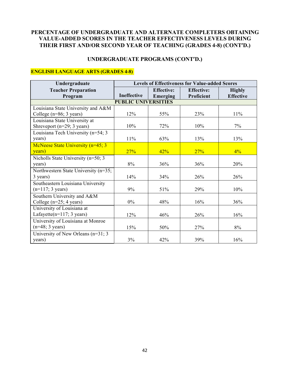# **UNDERGRADUATE PROGRAMS (CONT'D.)**

# **ENGLISH LANGUAGE ARTS (GRADES 4-8)**

| Undergraduate                        | <b>Levels of Effectiveness for Value-added Scores</b> |                   |                   |                  |  |  |  |  |  |
|--------------------------------------|-------------------------------------------------------|-------------------|-------------------|------------------|--|--|--|--|--|
| <b>Teacher Preparation</b>           |                                                       | <b>Effective:</b> | <b>Effective:</b> | <b>Highly</b>    |  |  |  |  |  |
| Program                              | Ineffective                                           | Emerging          | Proficient        | <b>Effective</b> |  |  |  |  |  |
| <b>PUBLIC UNIVERSITIES</b>           |                                                       |                   |                   |                  |  |  |  |  |  |
| Louisiana State University and A&M   |                                                       |                   |                   |                  |  |  |  |  |  |
| College $(n=86; 3 \text{ years})$    | 12%                                                   | 55%               | 23%               | 11%              |  |  |  |  |  |
| Louisiana State University at        |                                                       |                   |                   |                  |  |  |  |  |  |
| Shreveport $(n=29; 3 \text{ years})$ | 10%                                                   | 72%               | 10%               | $7\%$            |  |  |  |  |  |
| Louisiana Tech University (n=54; 3   |                                                       |                   |                   |                  |  |  |  |  |  |
| years)                               | 11%                                                   | 63%               | 13%               | 13%              |  |  |  |  |  |
| McNeese State University (n=45; 3    |                                                       |                   |                   |                  |  |  |  |  |  |
| years)                               | 27%                                                   | 42%               | 27%               | $4\%$            |  |  |  |  |  |
| Nicholls State University (n=50; 3   |                                                       |                   |                   |                  |  |  |  |  |  |
| years)                               | 8%                                                    | 36%               | 36%               | 20%              |  |  |  |  |  |
| Northwestern State University (n=35; |                                                       |                   |                   |                  |  |  |  |  |  |
| 3 years)                             | 14%                                                   | 34%               | 26%               | 26%              |  |  |  |  |  |
| Southeastern Louisiana University    |                                                       |                   |                   |                  |  |  |  |  |  |
| $(n=117; 3 \text{ years})$           | 9%                                                    | 51%               | 29%               | 10%              |  |  |  |  |  |
| Southern University and A&M          |                                                       |                   |                   |                  |  |  |  |  |  |
| College $(n=25; 4 \text{ years})$    | $0\%$                                                 | 48%               | 16%               | 36%              |  |  |  |  |  |
| University of Louisiana at           |                                                       |                   |                   |                  |  |  |  |  |  |
| Lafayette $(n=117; 3 \text{ years})$ | 12%                                                   | 46%               | 26%               | 16%              |  |  |  |  |  |
| University of Louisiana at Monroe    |                                                       |                   |                   |                  |  |  |  |  |  |
| $(n=48; 3 \text{ years})$            | 15%                                                   | 50%               | 27%               | 8%               |  |  |  |  |  |
| University of New Orleans (n=31; 3)  |                                                       |                   |                   |                  |  |  |  |  |  |
| years)                               | 3%                                                    | 42%               | 39%               | 16%              |  |  |  |  |  |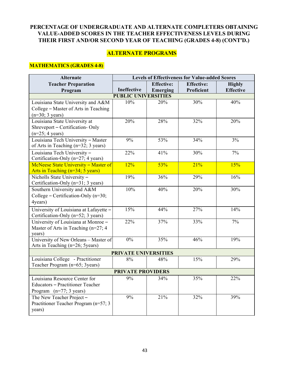# **ALTERNATE PROGRAMS**

## **MATHEMATICS (GRADES 4-8)**

| <b>Effective:</b><br><b>Effective:</b><br><b>Teacher Preparation</b><br><b>Highly</b><br>Ineffective<br><b>Effective</b><br>Proficient<br>Program<br>Emerging<br><b>PUBLIC UNIVERSITIES</b><br>30%<br>40%<br>10%<br>20%<br>Louisiana State University and A&M<br>College - Master of Arts in Teaching<br>$(n=30; 3 \text{ years})$<br>Louisiana State University at<br>20%<br>28%<br>32%<br>20%<br>Shreveport - Certification- Only<br>$(n=25; 4 \text{ years})$<br>Louisiana Tech University - Master<br>9%<br>53%<br>34%<br>3%<br>of Arts in Teaching (n=32; 3 years)<br>Louisiana Tech University -<br>22%<br>41%<br>30%<br>7%<br>Certification-Only (n=27; 4 years)<br>McNeese State University - Master of<br>12%<br>21%<br>15%<br>53%<br>Arts in Teaching (n=34; 5 years)<br>Nicholls State University-<br>19%<br>36%<br>29%<br>16%<br>Certification-Only (n=31; 3 years)<br>10%<br>20%<br>40%<br>30%<br>Southern University and A&M<br>College – Certification-Only ( $n=30$ ;<br>4years)<br>15%<br>44%<br>27%<br>14%<br>University of Louisiana at Lafayette -<br>Certification-Only (n=52; 3 years)<br>33%<br>7%<br>22%<br>37%<br>University of Louisiana at Monroe -<br>Master of Arts in Teaching (n=27; 4<br>years)<br>University of New Orleans - Master of<br>0%<br>35%<br>46%<br>19%<br>Arts in Teaching (n=26; 5years)<br>PRIVATE UNIVERSITIES<br>Louisiana College - Practitioner<br>15%<br>29%<br>$8\%$<br>48%<br>Teacher Program (n=65; 3years)<br><b>PRIVATE PROVIDERS</b><br>Louisiana Resource Center for<br>9%<br>34%<br>35%<br>22%<br>Educators - Practitioner Teacher<br>Program $(n=77; 3 \text{ years})$ | <b>Alternate</b>         | <b>Levels of Effectiveness for Value-added Scores</b> |     |     |     |
|-------------------------------------------------------------------------------------------------------------------------------------------------------------------------------------------------------------------------------------------------------------------------------------------------------------------------------------------------------------------------------------------------------------------------------------------------------------------------------------------------------------------------------------------------------------------------------------------------------------------------------------------------------------------------------------------------------------------------------------------------------------------------------------------------------------------------------------------------------------------------------------------------------------------------------------------------------------------------------------------------------------------------------------------------------------------------------------------------------------------------------------------------------------------------------------------------------------------------------------------------------------------------------------------------------------------------------------------------------------------------------------------------------------------------------------------------------------------------------------------------------------------------------------------------------------------------------------------------------------------------------------|--------------------------|-------------------------------------------------------|-----|-----|-----|
|                                                                                                                                                                                                                                                                                                                                                                                                                                                                                                                                                                                                                                                                                                                                                                                                                                                                                                                                                                                                                                                                                                                                                                                                                                                                                                                                                                                                                                                                                                                                                                                                                                     |                          |                                                       |     |     |     |
|                                                                                                                                                                                                                                                                                                                                                                                                                                                                                                                                                                                                                                                                                                                                                                                                                                                                                                                                                                                                                                                                                                                                                                                                                                                                                                                                                                                                                                                                                                                                                                                                                                     |                          |                                                       |     |     |     |
|                                                                                                                                                                                                                                                                                                                                                                                                                                                                                                                                                                                                                                                                                                                                                                                                                                                                                                                                                                                                                                                                                                                                                                                                                                                                                                                                                                                                                                                                                                                                                                                                                                     |                          |                                                       |     |     |     |
|                                                                                                                                                                                                                                                                                                                                                                                                                                                                                                                                                                                                                                                                                                                                                                                                                                                                                                                                                                                                                                                                                                                                                                                                                                                                                                                                                                                                                                                                                                                                                                                                                                     |                          |                                                       |     |     |     |
|                                                                                                                                                                                                                                                                                                                                                                                                                                                                                                                                                                                                                                                                                                                                                                                                                                                                                                                                                                                                                                                                                                                                                                                                                                                                                                                                                                                                                                                                                                                                                                                                                                     |                          |                                                       |     |     |     |
|                                                                                                                                                                                                                                                                                                                                                                                                                                                                                                                                                                                                                                                                                                                                                                                                                                                                                                                                                                                                                                                                                                                                                                                                                                                                                                                                                                                                                                                                                                                                                                                                                                     |                          |                                                       |     |     |     |
|                                                                                                                                                                                                                                                                                                                                                                                                                                                                                                                                                                                                                                                                                                                                                                                                                                                                                                                                                                                                                                                                                                                                                                                                                                                                                                                                                                                                                                                                                                                                                                                                                                     |                          |                                                       |     |     |     |
|                                                                                                                                                                                                                                                                                                                                                                                                                                                                                                                                                                                                                                                                                                                                                                                                                                                                                                                                                                                                                                                                                                                                                                                                                                                                                                                                                                                                                                                                                                                                                                                                                                     |                          |                                                       |     |     |     |
|                                                                                                                                                                                                                                                                                                                                                                                                                                                                                                                                                                                                                                                                                                                                                                                                                                                                                                                                                                                                                                                                                                                                                                                                                                                                                                                                                                                                                                                                                                                                                                                                                                     |                          |                                                       |     |     |     |
|                                                                                                                                                                                                                                                                                                                                                                                                                                                                                                                                                                                                                                                                                                                                                                                                                                                                                                                                                                                                                                                                                                                                                                                                                                                                                                                                                                                                                                                                                                                                                                                                                                     |                          |                                                       |     |     |     |
|                                                                                                                                                                                                                                                                                                                                                                                                                                                                                                                                                                                                                                                                                                                                                                                                                                                                                                                                                                                                                                                                                                                                                                                                                                                                                                                                                                                                                                                                                                                                                                                                                                     |                          |                                                       |     |     |     |
|                                                                                                                                                                                                                                                                                                                                                                                                                                                                                                                                                                                                                                                                                                                                                                                                                                                                                                                                                                                                                                                                                                                                                                                                                                                                                                                                                                                                                                                                                                                                                                                                                                     |                          |                                                       |     |     |     |
|                                                                                                                                                                                                                                                                                                                                                                                                                                                                                                                                                                                                                                                                                                                                                                                                                                                                                                                                                                                                                                                                                                                                                                                                                                                                                                                                                                                                                                                                                                                                                                                                                                     |                          |                                                       |     |     |     |
|                                                                                                                                                                                                                                                                                                                                                                                                                                                                                                                                                                                                                                                                                                                                                                                                                                                                                                                                                                                                                                                                                                                                                                                                                                                                                                                                                                                                                                                                                                                                                                                                                                     |                          |                                                       |     |     |     |
|                                                                                                                                                                                                                                                                                                                                                                                                                                                                                                                                                                                                                                                                                                                                                                                                                                                                                                                                                                                                                                                                                                                                                                                                                                                                                                                                                                                                                                                                                                                                                                                                                                     |                          |                                                       |     |     |     |
|                                                                                                                                                                                                                                                                                                                                                                                                                                                                                                                                                                                                                                                                                                                                                                                                                                                                                                                                                                                                                                                                                                                                                                                                                                                                                                                                                                                                                                                                                                                                                                                                                                     |                          |                                                       |     |     |     |
|                                                                                                                                                                                                                                                                                                                                                                                                                                                                                                                                                                                                                                                                                                                                                                                                                                                                                                                                                                                                                                                                                                                                                                                                                                                                                                                                                                                                                                                                                                                                                                                                                                     |                          |                                                       |     |     |     |
|                                                                                                                                                                                                                                                                                                                                                                                                                                                                                                                                                                                                                                                                                                                                                                                                                                                                                                                                                                                                                                                                                                                                                                                                                                                                                                                                                                                                                                                                                                                                                                                                                                     |                          |                                                       |     |     |     |
|                                                                                                                                                                                                                                                                                                                                                                                                                                                                                                                                                                                                                                                                                                                                                                                                                                                                                                                                                                                                                                                                                                                                                                                                                                                                                                                                                                                                                                                                                                                                                                                                                                     |                          |                                                       |     |     |     |
|                                                                                                                                                                                                                                                                                                                                                                                                                                                                                                                                                                                                                                                                                                                                                                                                                                                                                                                                                                                                                                                                                                                                                                                                                                                                                                                                                                                                                                                                                                                                                                                                                                     |                          |                                                       |     |     |     |
|                                                                                                                                                                                                                                                                                                                                                                                                                                                                                                                                                                                                                                                                                                                                                                                                                                                                                                                                                                                                                                                                                                                                                                                                                                                                                                                                                                                                                                                                                                                                                                                                                                     |                          |                                                       |     |     |     |
|                                                                                                                                                                                                                                                                                                                                                                                                                                                                                                                                                                                                                                                                                                                                                                                                                                                                                                                                                                                                                                                                                                                                                                                                                                                                                                                                                                                                                                                                                                                                                                                                                                     |                          |                                                       |     |     |     |
|                                                                                                                                                                                                                                                                                                                                                                                                                                                                                                                                                                                                                                                                                                                                                                                                                                                                                                                                                                                                                                                                                                                                                                                                                                                                                                                                                                                                                                                                                                                                                                                                                                     |                          |                                                       |     |     |     |
|                                                                                                                                                                                                                                                                                                                                                                                                                                                                                                                                                                                                                                                                                                                                                                                                                                                                                                                                                                                                                                                                                                                                                                                                                                                                                                                                                                                                                                                                                                                                                                                                                                     |                          |                                                       |     |     |     |
|                                                                                                                                                                                                                                                                                                                                                                                                                                                                                                                                                                                                                                                                                                                                                                                                                                                                                                                                                                                                                                                                                                                                                                                                                                                                                                                                                                                                                                                                                                                                                                                                                                     |                          |                                                       |     |     |     |
|                                                                                                                                                                                                                                                                                                                                                                                                                                                                                                                                                                                                                                                                                                                                                                                                                                                                                                                                                                                                                                                                                                                                                                                                                                                                                                                                                                                                                                                                                                                                                                                                                                     |                          |                                                       |     |     |     |
|                                                                                                                                                                                                                                                                                                                                                                                                                                                                                                                                                                                                                                                                                                                                                                                                                                                                                                                                                                                                                                                                                                                                                                                                                                                                                                                                                                                                                                                                                                                                                                                                                                     |                          |                                                       |     |     |     |
|                                                                                                                                                                                                                                                                                                                                                                                                                                                                                                                                                                                                                                                                                                                                                                                                                                                                                                                                                                                                                                                                                                                                                                                                                                                                                                                                                                                                                                                                                                                                                                                                                                     |                          |                                                       |     |     |     |
|                                                                                                                                                                                                                                                                                                                                                                                                                                                                                                                                                                                                                                                                                                                                                                                                                                                                                                                                                                                                                                                                                                                                                                                                                                                                                                                                                                                                                                                                                                                                                                                                                                     |                          |                                                       |     |     |     |
|                                                                                                                                                                                                                                                                                                                                                                                                                                                                                                                                                                                                                                                                                                                                                                                                                                                                                                                                                                                                                                                                                                                                                                                                                                                                                                                                                                                                                                                                                                                                                                                                                                     |                          |                                                       |     |     |     |
|                                                                                                                                                                                                                                                                                                                                                                                                                                                                                                                                                                                                                                                                                                                                                                                                                                                                                                                                                                                                                                                                                                                                                                                                                                                                                                                                                                                                                                                                                                                                                                                                                                     |                          |                                                       |     |     |     |
|                                                                                                                                                                                                                                                                                                                                                                                                                                                                                                                                                                                                                                                                                                                                                                                                                                                                                                                                                                                                                                                                                                                                                                                                                                                                                                                                                                                                                                                                                                                                                                                                                                     |                          |                                                       |     |     |     |
|                                                                                                                                                                                                                                                                                                                                                                                                                                                                                                                                                                                                                                                                                                                                                                                                                                                                                                                                                                                                                                                                                                                                                                                                                                                                                                                                                                                                                                                                                                                                                                                                                                     |                          |                                                       |     |     |     |
|                                                                                                                                                                                                                                                                                                                                                                                                                                                                                                                                                                                                                                                                                                                                                                                                                                                                                                                                                                                                                                                                                                                                                                                                                                                                                                                                                                                                                                                                                                                                                                                                                                     |                          |                                                       |     |     |     |
|                                                                                                                                                                                                                                                                                                                                                                                                                                                                                                                                                                                                                                                                                                                                                                                                                                                                                                                                                                                                                                                                                                                                                                                                                                                                                                                                                                                                                                                                                                                                                                                                                                     | The New Teacher Project- | 9%                                                    | 21% | 32% | 39% |
| Practitioner Teacher Program (n=57; 3                                                                                                                                                                                                                                                                                                                                                                                                                                                                                                                                                                                                                                                                                                                                                                                                                                                                                                                                                                                                                                                                                                                                                                                                                                                                                                                                                                                                                                                                                                                                                                                               |                          |                                                       |     |     |     |
| years)                                                                                                                                                                                                                                                                                                                                                                                                                                                                                                                                                                                                                                                                                                                                                                                                                                                                                                                                                                                                                                                                                                                                                                                                                                                                                                                                                                                                                                                                                                                                                                                                                              |                          |                                                       |     |     |     |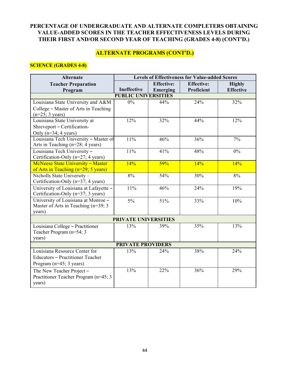# **ALTERNATE PROGRAMS (CONT'D.)**

#### **SCIENCE (GRADES 4-8)**

| <b>Alternate</b>                       | <b>Levels of Effectiveness for Value-added Scores</b> |                   |                   |                  |
|----------------------------------------|-------------------------------------------------------|-------------------|-------------------|------------------|
| <b>Teacher Preparation</b>             |                                                       | <b>Effective:</b> | <b>Effective:</b> | <b>Highly</b>    |
| Program                                | Ineffective                                           | Emerging          | Proficient        | <b>Effective</b> |
|                                        | <b>PUBLIC UNIVERSITIES</b>                            |                   |                   |                  |
| Louisiana State University and A&M     | $0\%$                                                 | 44%               | 24%               | 32%              |
| College - Master of Arts in Teaching   |                                                       |                   |                   |                  |
| $(n=25; 3 \text{ years})$              |                                                       |                   |                   |                  |
| Louisiana State University at          | 12%                                                   | 32%               | 44%               | 12%              |
| Shreveport - Certification-            |                                                       |                   |                   |                  |
| Only (n=34; 4 years)                   |                                                       |                   |                   |                  |
| Louisiana Tech University - Master of  | 11%                                                   | 46%               | 36%               | 7%               |
| Arts in Teaching (n=28; 4 years)       |                                                       |                   |                   |                  |
| Louisiana Tech University -            | 11%                                                   | 41%               | 48%               | $0\%$            |
| Certification-Only (n=27; 4 years)     |                                                       |                   |                   |                  |
| McNeese State University - Master      | 14%                                                   | 59%               | 14%               | 14%              |
| of Arts in Teaching (n=29; 5 years)    |                                                       |                   |                   |                  |
| Nicholls State University-             | 8%                                                    | 54%               | 30%               | 8%               |
| Certification-Only (n=37; 4 years)     |                                                       |                   |                   |                  |
| University of Louisiana at Lafayette - | 11%                                                   | 46%               | 24%               | 19%              |
| Certification-Only (n=37; 3 years)     |                                                       |                   |                   |                  |
| University of Louisiana at Monroe -    | 5%                                                    | 51%               | 33%               | 10%              |
| Master of Arts in Teaching (n=39; 3    |                                                       |                   |                   |                  |
| years)                                 |                                                       |                   |                   |                  |
| PRIVATE UNIVERSITIES                   |                                                       |                   |                   |                  |
| Louisiana College - Practitioner       | 13%                                                   | 39%               | 35%               | 13%              |
| Teacher Program (n=54; 3               |                                                       |                   |                   |                  |
| years)                                 |                                                       |                   |                   |                  |
| <b>PRIVATE PROVIDERS</b>               |                                                       |                   |                   |                  |
| Louisiana Resource Center for          | 13%                                                   | 24%               | 38%               | 24%              |
| Educators - Practitioner Teacher       |                                                       |                   |                   |                  |
| Program $(n=45; 3 \text{ years})$      |                                                       |                   |                   |                  |
| The New Teacher Project -              | 13%                                                   | 22%               | 36%               | 29%              |
| Practitioner Teacher Program (n=45; 3) |                                                       |                   |                   |                  |
| years)                                 |                                                       |                   |                   |                  |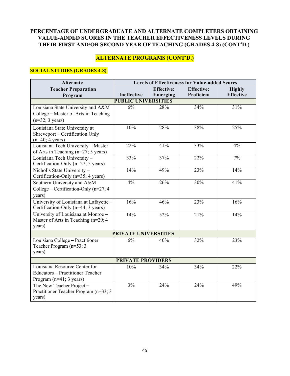# **ALTERNATE PROGRAMS (CONT'D.)**

## **SOCIAL STUDIES (GRADES 4-8)**

| <b>Alternate</b>                       | <b>Levels of Effectiveness for Value-added Scores</b> |                   |                   |                  |
|----------------------------------------|-------------------------------------------------------|-------------------|-------------------|------------------|
| <b>Teacher Preparation</b>             |                                                       | <b>Effective:</b> | <b>Effective:</b> | <b>Highly</b>    |
| Program                                | Ineffective                                           | Emerging          | Proficient        | <b>Effective</b> |
|                                        | <b>PUBLIC UNIVERSITIES</b>                            |                   |                   |                  |
| Louisiana State University and A&M     | 6%                                                    | 28%               | 34%               | 31%              |
| College - Master of Arts in Teaching   |                                                       |                   |                   |                  |
| $(n=32; 3 \text{ years})$              |                                                       |                   |                   |                  |
| Louisiana State University at          | 10%                                                   | 28%               | 38%               | 25%              |
| Shreveport - Certification Only        |                                                       |                   |                   |                  |
| $(n=40; 4 \text{ years})$              |                                                       |                   |                   |                  |
| Louisiana Tech University - Master     | 22%                                                   | 41%               | 33%               | 4%               |
| of Arts in Teaching (n=27; 5 years)    |                                                       |                   |                   |                  |
| Louisiana Tech University -            | 33%                                                   | 37%               | 22%               | 7%               |
| Certification-Only (n=27; 5 years)     |                                                       |                   |                   |                  |
| Nicholls State University -            | 14%                                                   | 49%               | 23%               | 14%              |
| Certification-Only (n=35; 4 years)     |                                                       |                   |                   |                  |
| Southern University and A&M            | $4\%$                                                 | 26%               | 30%               | 41%              |
| College – Certification-Only (n=27; 4  |                                                       |                   |                   |                  |
| years)                                 |                                                       |                   |                   |                  |
| University of Louisiana at Lafayette - | 16%                                                   | 46%               | 23%               | 16%              |
| Certification-Only (n=44; 3 years)     |                                                       |                   |                   |                  |
| University of Louisiana at Monroe -    | 14%                                                   | 52%               | 21%               | 14%              |
| Master of Arts in Teaching $(n=29; 4)$ |                                                       |                   |                   |                  |
| years)                                 |                                                       |                   |                   |                  |
| <b>PRIVATE UNIVERSITIES</b>            |                                                       |                   |                   |                  |
| Louisiana College - Practitioner       | 6%                                                    | 40%               | 32%               | 23%              |
| Teacher Program (n=53; 3               |                                                       |                   |                   |                  |
| years)                                 |                                                       |                   |                   |                  |
| <b>PRIVATE PROVIDERS</b>               |                                                       |                   |                   |                  |
| Louisiana Resource Center for          | 10%                                                   | 34%               | 34%               | 22%              |
| Educators - Practitioner Teacher       |                                                       |                   |                   |                  |
| Program $(n=41; 3 \text{ years})$      |                                                       |                   |                   |                  |
| The New Teacher Project-               | 3%                                                    | 24%               | 24%               | 49%              |
| Practitioner Teacher Program (n=33; 3) |                                                       |                   |                   |                  |
| years)                                 |                                                       |                   |                   |                  |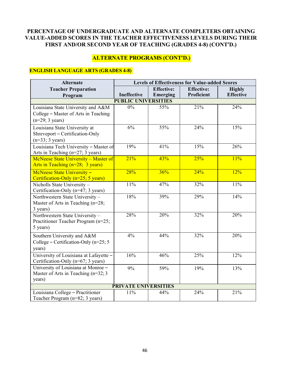# **ALTERNATE PROGRAMS (CONT'D.)**

# **ENGLISH LANGUAGE ARTS (GRADES 4-8)**

| <b>Alternate</b>                                                                   | <b>Levels of Effectiveness for Value-added Scores</b> |                   |                   |                   |  |
|------------------------------------------------------------------------------------|-------------------------------------------------------|-------------------|-------------------|-------------------|--|
| <b>Teacher Preparation</b>                                                         |                                                       | <b>Effective:</b> | <b>Effective:</b> | <b>Highly</b>     |  |
| Program                                                                            | Ineffective                                           | Emerging          | Proficient        | <b>Effective</b>  |  |
| <b>PUBLIC UNIVERSITIES</b>                                                         |                                                       |                   |                   |                   |  |
| Louisiana State University and A&M                                                 | 0%                                                    | 55%               | 21%               | 24%               |  |
| College – Master of Arts in Teaching                                               |                                                       |                   |                   |                   |  |
| $(n=29; 3 \text{ years})$                                                          |                                                       |                   |                   |                   |  |
| Louisiana State University at                                                      | 6%                                                    | 55%               | 24%               | 15%               |  |
| Shreveport - Certification-Only                                                    |                                                       |                   |                   |                   |  |
| $(n=33; 3 \text{ years})$                                                          |                                                       |                   |                   |                   |  |
| Louisiana Tech University - Master of                                              | 19%                                                   | 41%               | 15%               | 26%               |  |
| Arts in Teaching (n=27; 3 years)                                                   | 21%                                                   | 43%               | 25%               | 11%               |  |
| McNeese State University - Master of<br>Arts in Teaching $(n=28; 3 \text{ years})$ |                                                       |                   |                   |                   |  |
|                                                                                    |                                                       |                   |                   |                   |  |
| McNeese State University -<br>Certification-Only (n=25; 5 years)                   | 28%                                                   | 36%               | 24%               | 12%               |  |
| Nicholls State University -                                                        | 11%                                                   | 47%               | 32%               | 11%               |  |
| Certification-Only (n=47; 3 years)                                                 |                                                       |                   |                   |                   |  |
| Northwestern State University -                                                    | 18%                                                   | 39%               | 29%               | 14%               |  |
| Master of Arts in Teaching (n=28;                                                  |                                                       |                   |                   |                   |  |
| 3 years)                                                                           |                                                       |                   |                   |                   |  |
| Northwestern State University -                                                    | 28%                                                   | 20%               | 32%               | 20%               |  |
| Practitioner Teacher Program (n=25;                                                |                                                       |                   |                   |                   |  |
| 5 years)                                                                           |                                                       |                   |                   |                   |  |
| Southern University and A&M                                                        | 4%                                                    | 44%               | 32%               | 20%               |  |
| College – Certification-Only (n=25; 5                                              |                                                       |                   |                   |                   |  |
| years)                                                                             |                                                       |                   |                   |                   |  |
| University of Louisiana at Lafayette -                                             | 16%                                                   | 46%               | 25%               | $\overline{12\%}$ |  |
| Certification-Only (n=67; 3 years)                                                 |                                                       |                   |                   |                   |  |
| University of Louisiana at Monroe -                                                | 9%                                                    | 59%               | 19%               | 13%               |  |
| Master of Arts in Teaching $(n=32; 3)$                                             |                                                       |                   |                   |                   |  |
| years)                                                                             |                                                       |                   |                   |                   |  |
|                                                                                    | <b>PRIVATE UNIVERSITIES</b>                           |                   |                   |                   |  |
| Louisiana College - Practitioner                                                   | 11%                                                   | 44%               | 24%               | 21%               |  |
| Teacher Program (n=82; 3 years)                                                    |                                                       |                   |                   |                   |  |